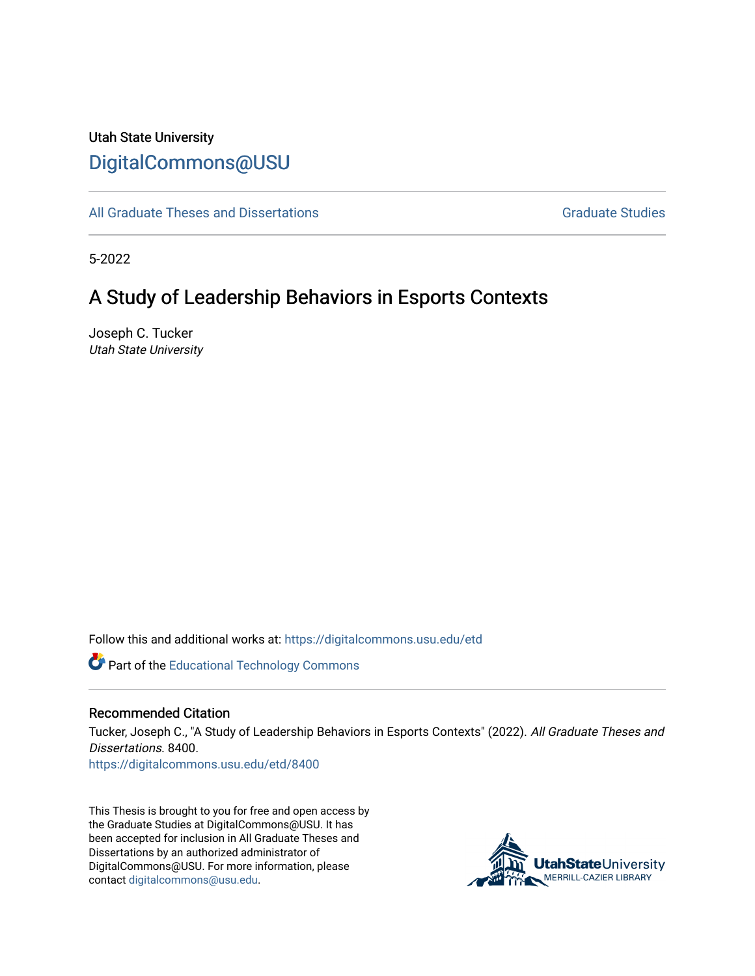# Utah State University [DigitalCommons@USU](https://digitalcommons.usu.edu/)

[All Graduate Theses and Dissertations](https://digitalcommons.usu.edu/etd) [Graduate Studies](https://digitalcommons.usu.edu/gradstudies) Graduate Studies

5-2022

# A Study of Leadership Behaviors in Esports Contexts

Joseph C. Tucker Utah State University

Follow this and additional works at: [https://digitalcommons.usu.edu/etd](https://digitalcommons.usu.edu/etd?utm_source=digitalcommons.usu.edu%2Fetd%2F8400&utm_medium=PDF&utm_campaign=PDFCoverPages) 

Part of the [Educational Technology Commons](http://network.bepress.com/hgg/discipline/1415?utm_source=digitalcommons.usu.edu%2Fetd%2F8400&utm_medium=PDF&utm_campaign=PDFCoverPages) 

#### Recommended Citation

Tucker, Joseph C., "A Study of Leadership Behaviors in Esports Contexts" (2022). All Graduate Theses and Dissertations. 8400.

[https://digitalcommons.usu.edu/etd/8400](https://digitalcommons.usu.edu/etd/8400?utm_source=digitalcommons.usu.edu%2Fetd%2F8400&utm_medium=PDF&utm_campaign=PDFCoverPages)

This Thesis is brought to you for free and open access by the Graduate Studies at DigitalCommons@USU. It has been accepted for inclusion in All Graduate Theses and Dissertations by an authorized administrator of DigitalCommons@USU. For more information, please contact [digitalcommons@usu.edu](mailto:digitalcommons@usu.edu).

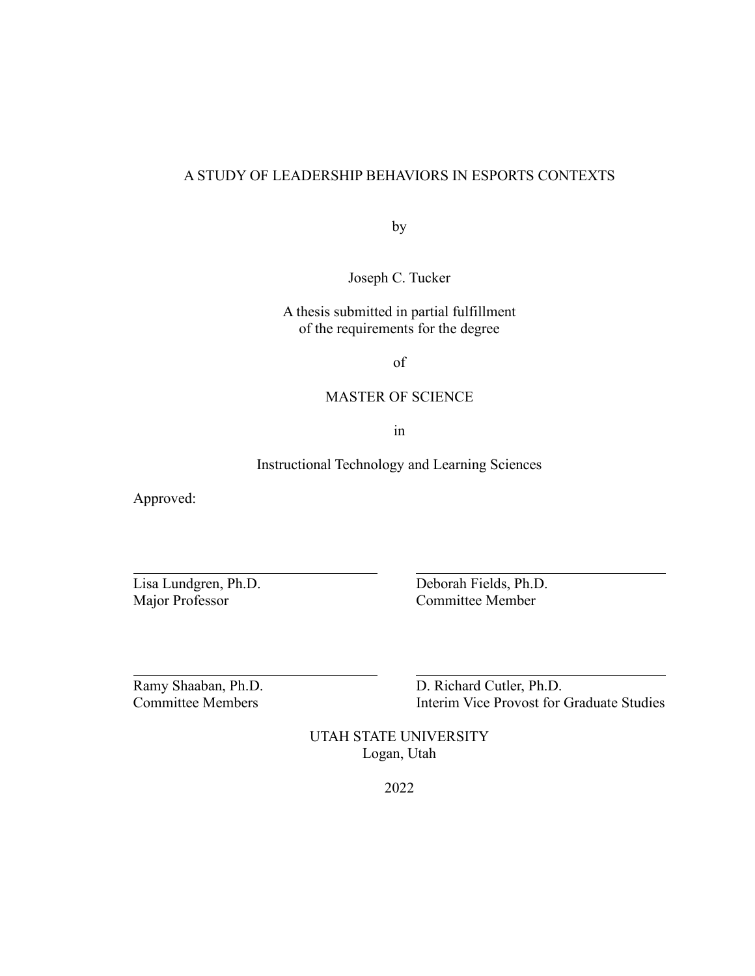## A STUDY OF LEADERSHIP BEHAVIORS IN ESPORTS CONTEXTS

by

Joseph C. Tucker

A thesis submitted in partial fulfillment of the requirements for the degree

of

## MASTER OF SCIENCE

in

Instructional Technology and Learning Sciences

Approved:

Lisa Lundgren, Ph.D. Deborah Fields, Ph.D. Major Professor Committee Member

Ramy Shaaban, Ph.D. D. Richard Cutler, Ph.D. Committee Members Interim Vice Provost for Graduate Studies

> UTAH STATE UNIVERSITY Logan, Utah

> > 2022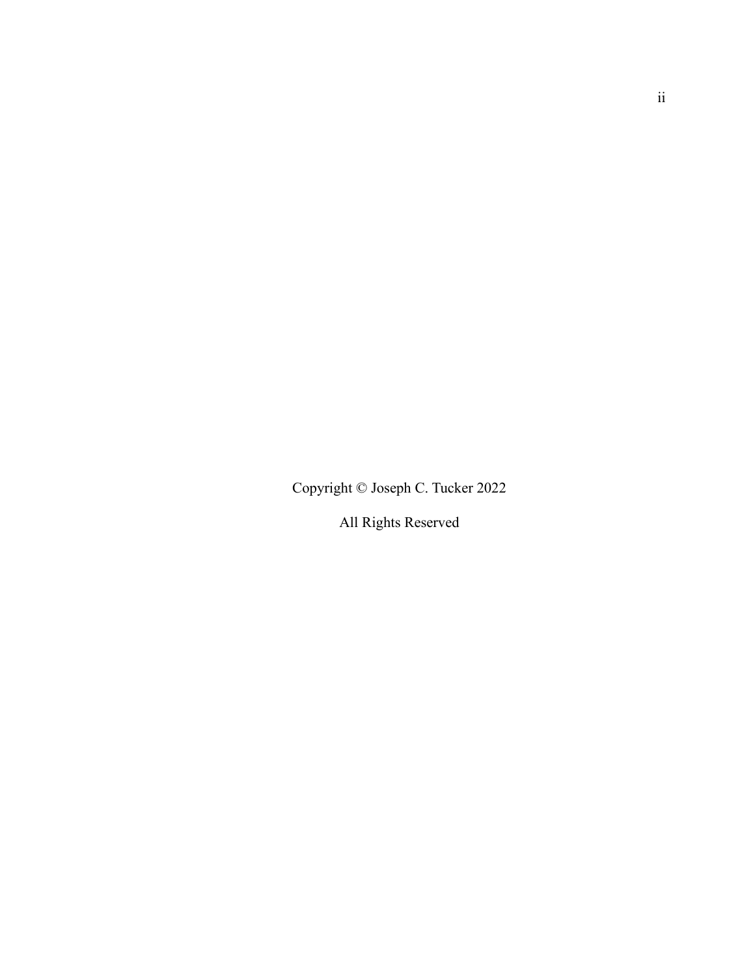Copyright © Joseph C. Tucker 2022

All Rights Reserved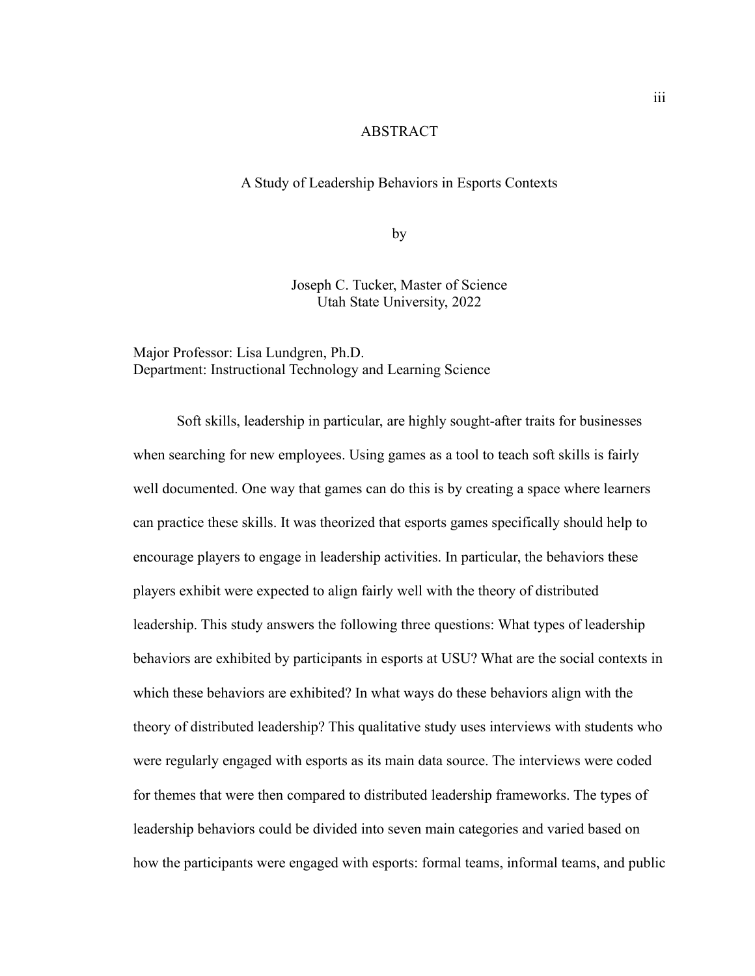## ABSTRACT

#### A Study of Leadership Behaviors in Esports Contexts

by

Joseph C. Tucker, Master of Science Utah State University, 2022

Major Professor: Lisa Lundgren, Ph.D. Department: Instructional Technology and Learning Science

Soft skills, leadership in particular, are highly sought-after traits for businesses when searching for new employees. Using games as a tool to teach soft skills is fairly well documented. One way that games can do this is by creating a space where learners can practice these skills. It was theorized that esports games specifically should help to encourage players to engage in leadership activities. In particular, the behaviors these players exhibit were expected to align fairly well with the theory of distributed leadership. This study answers the following three questions: What types of leadership behaviors are exhibited by participants in esports at USU? What are the social contexts in which these behaviors are exhibited? In what ways do these behaviors align with the theory of distributed leadership? This qualitative study uses interviews with students who were regularly engaged with esports as its main data source. The interviews were coded for themes that were then compared to distributed leadership frameworks. The types of leadership behaviors could be divided into seven main categories and varied based on how the participants were engaged with esports: formal teams, informal teams, and public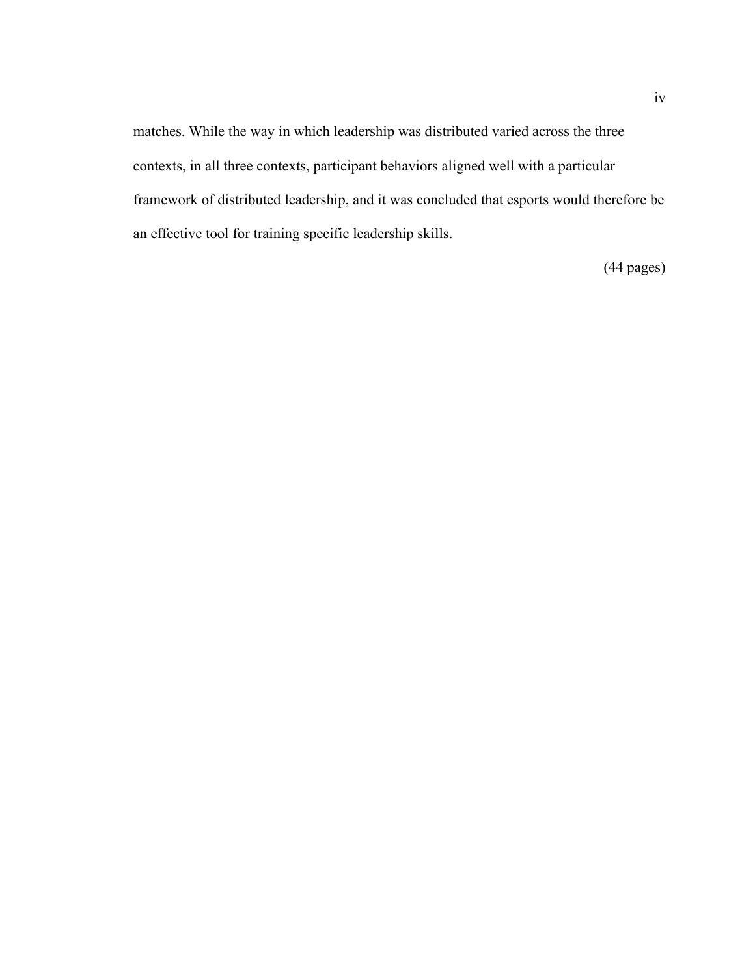matches. While the way in which leadership was distributed varied across the three contexts, in all three contexts, participant behaviors aligned well with a particular framework of distributed leadership, and it was concluded that esports would therefore be an effective tool for training specific leadership skills.

(44 pages)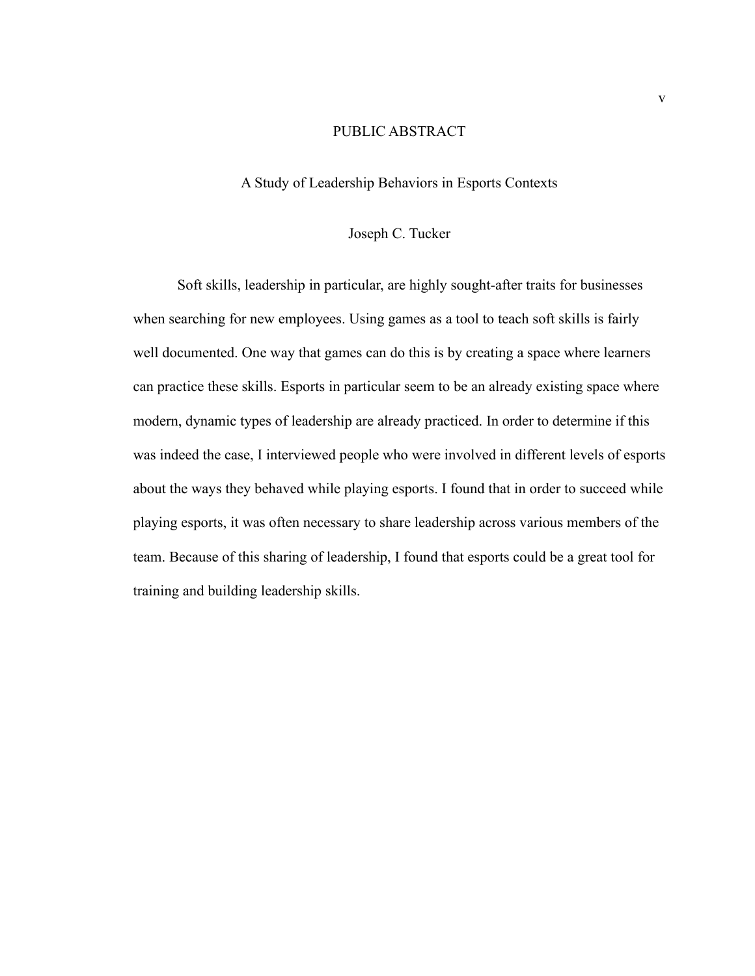## PUBLIC ABSTRACT

## A Study of Leadership Behaviors in Esports Contexts

## Joseph C. Tucker

Soft skills, leadership in particular, are highly sought-after traits for businesses when searching for new employees. Using games as a tool to teach soft skills is fairly well documented. One way that games can do this is by creating a space where learners can practice these skills. Esports in particular seem to be an already existing space where modern, dynamic types of leadership are already practiced. In order to determine if this was indeed the case, I interviewed people who were involved in different levels of esports about the ways they behaved while playing esports. I found that in order to succeed while playing esports, it was often necessary to share leadership across various members of the team. Because of this sharing of leadership, I found that esports could be a great tool for training and building leadership skills.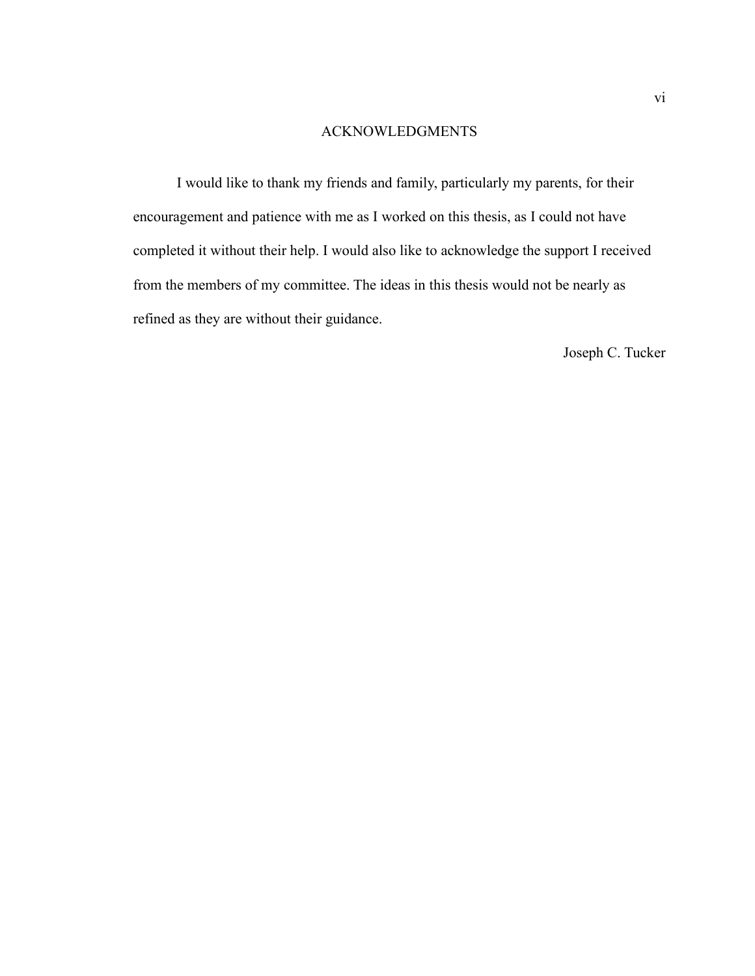#### ACKNOWLEDGMENTS

I would like to thank my friends and family, particularly my parents, for their encouragement and patience with me as I worked on this thesis, as I could not have completed it without their help. I would also like to acknowledge the support I received from the members of my committee. The ideas in this thesis would not be nearly as refined as they are without their guidance.

Joseph C. Tucker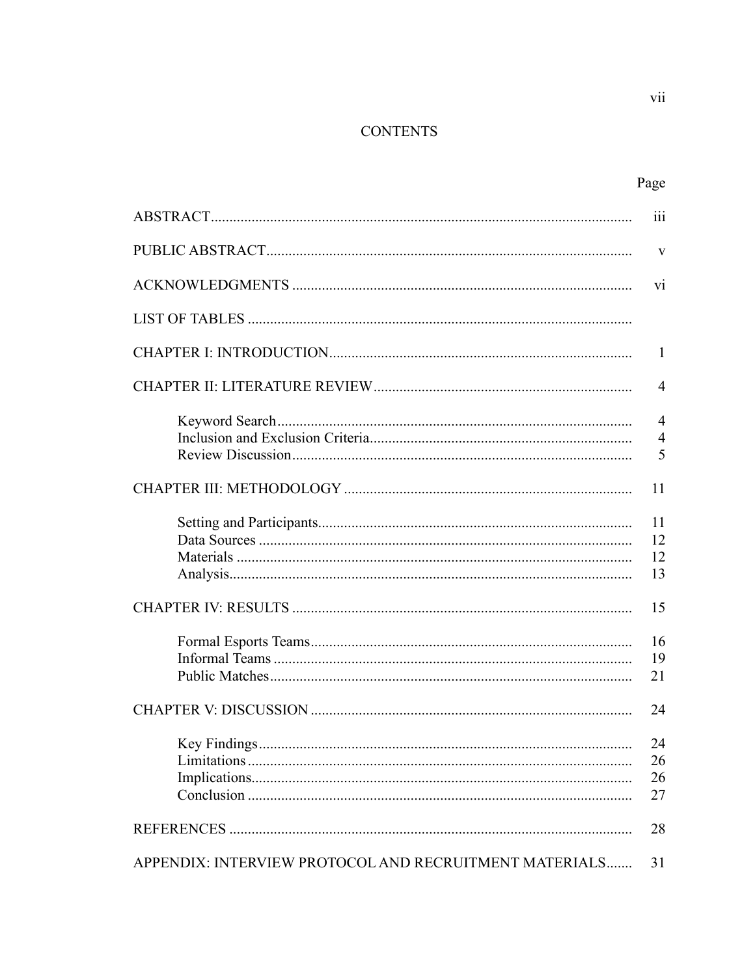# **CONTENTS**

| Page |
|------|

|                                                        | 111                                   |
|--------------------------------------------------------|---------------------------------------|
|                                                        | $\mathbf{V}$                          |
|                                                        | vi                                    |
|                                                        |                                       |
|                                                        | $\mathbf{1}$                          |
|                                                        | $\overline{4}$                        |
|                                                        | $\overline{4}$<br>$\overline{4}$<br>5 |
|                                                        | 11                                    |
|                                                        | 11<br>12<br>12<br>13                  |
|                                                        | 15                                    |
|                                                        | 16<br>19<br>21                        |
|                                                        | 24                                    |
|                                                        | 24<br>26<br>26<br>27                  |
|                                                        | 28                                    |
| APPENDIX: INTERVIEW PROTOCOL AND RECRUITMENT MATERIALS | 31                                    |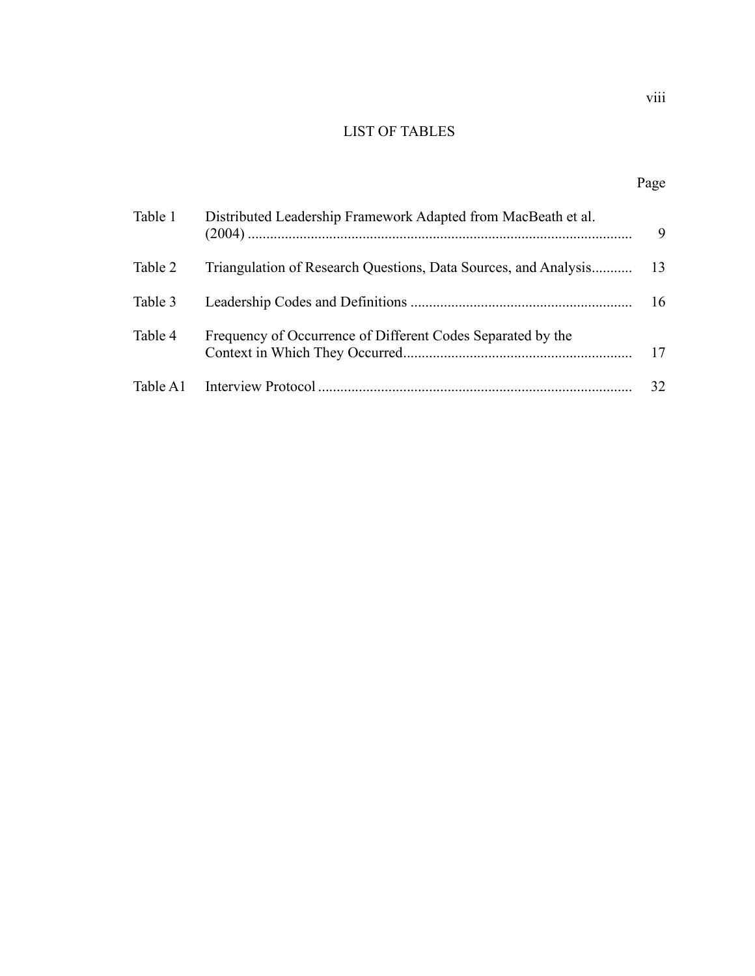# LIST OF TABLES

# Page

| Table 1 | Distributed Leadership Framework Adapted from MacBeath et al. | 9  |
|---------|---------------------------------------------------------------|----|
| Table 2 |                                                               |    |
| Table 3 |                                                               | 16 |
| Table 4 | Frequency of Occurrence of Different Codes Separated by the   | 17 |
|         |                                                               | 32 |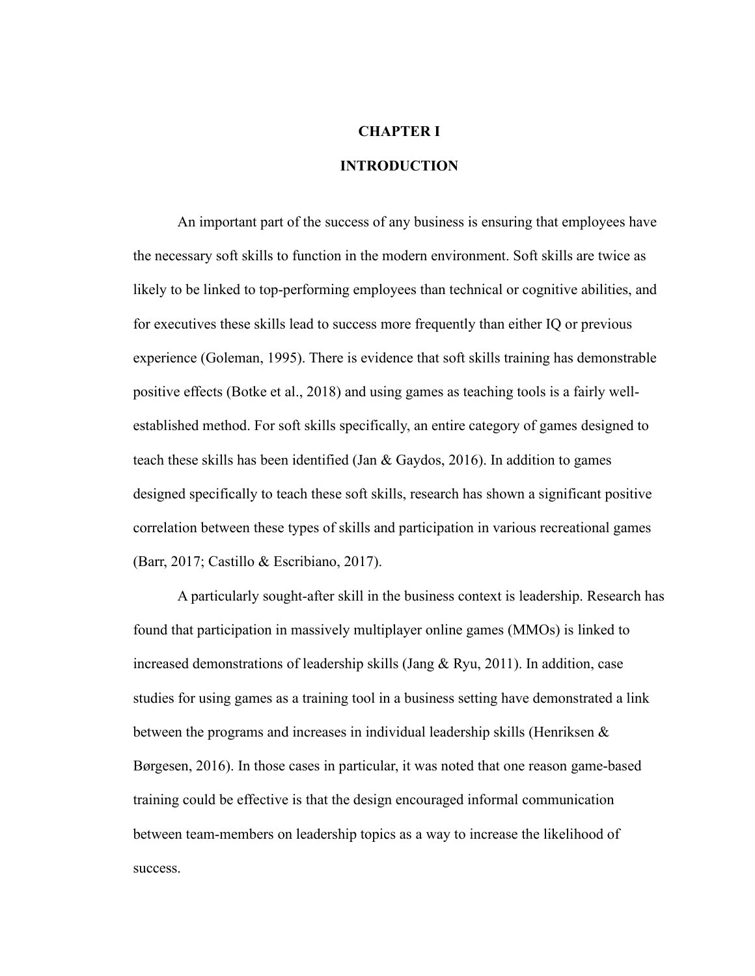## **CHAPTER I**

## **INTRODUCTION**

An important part of the success of any business is ensuring that employees have the necessary soft skills to function in the modern environment. Soft skills are twice as likely to be linked to top-performing employees than technical or cognitive abilities, and for executives these skills lead to success more frequently than either IQ or previous experience (Goleman, 1995). There is evidence that soft skills training has demonstrable positive effects (Botke et al., 2018) and using games as teaching tools is a fairly wellestablished method. For soft skills specifically, an entire category of games designed to teach these skills has been identified (Jan & Gaydos, 2016). In addition to games designed specifically to teach these soft skills, research has shown a significant positive correlation between these types of skills and participation in various recreational games (Barr, 2017; Castillo & Escribiano, 2017).

A particularly sought-after skill in the business context is leadership. Research has found that participation in massively multiplayer online games (MMOs) is linked to increased demonstrations of leadership skills (Jang & Ryu, 2011). In addition, case studies for using games as a training tool in a business setting have demonstrated a link between the programs and increases in individual leadership skills (Henriksen & Børgesen, 2016). In those cases in particular, it was noted that one reason game-based training could be effective is that the design encouraged informal communication between team-members on leadership topics as a way to increase the likelihood of success.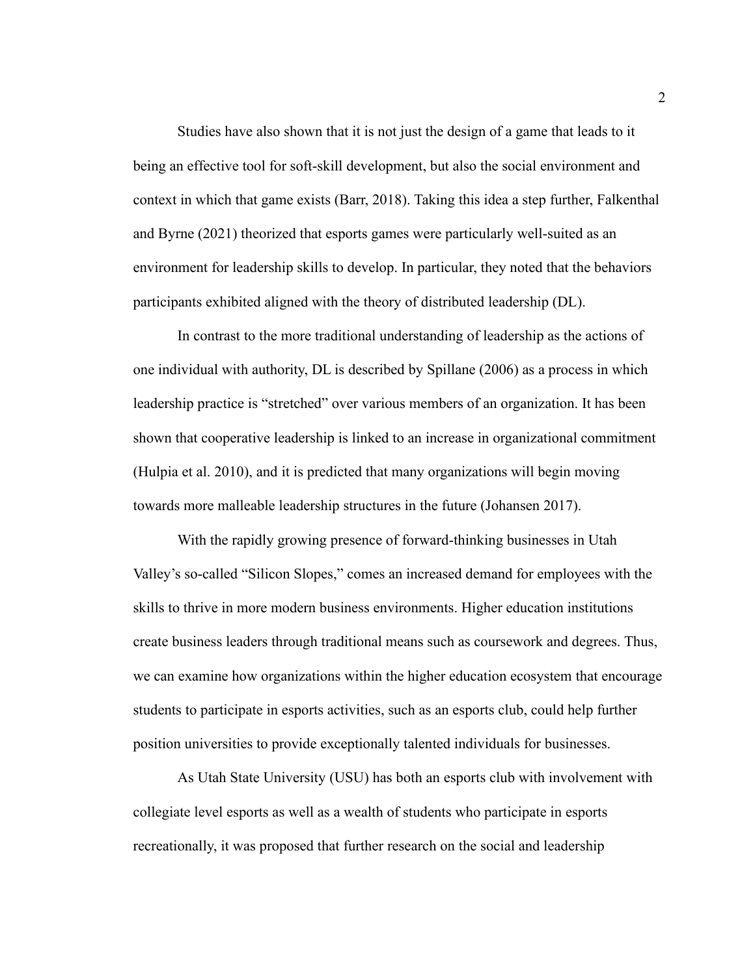Studies have also shown that it is not just the design of a game that leads to it being an effective tool for soft-skill development, but also the social environment and context in which that game exists (Barr, 2018). Taking this idea a step further, Falkenthal and Byrne (2021) theorized that esports games were particularly well-suited as an environment for leadership skills to develop. In particular, they noted that the behaviors participants exhibited aligned with the theory of distributed leadership (DL).

In contrast to the more traditional understanding of leadership as the actions of one individual with authority, DL is described by Spillane (2006) as a process in which leadership practice is "stretched" over various members of an organization. It has been shown that cooperative leadership is linked to an increase in organizational commitment (Hulpia et al. 2010), and it is predicted that many organizations will begin moving towards more malleable leadership structures in the future (Johansen 2017).

With the rapidly growing presence of forward-thinking businesses in Utah Valley's so-called "Silicon Slopes," comes an increased demand for employees with the skills to thrive in more modern business environments. Higher education institutions create business leaders through traditional means such as coursework and degrees. Thus, we can examine how organizations within the higher education ecosystem that encourage students to participate in esports activities, such as an esports club, could help further position universities to provide exceptionally talented individuals for businesses.

As Utah State University (USU) has both an esports club with involvement with collegiate level esports as well as a wealth of students who participate in esports recreationally, it was proposed that further research on the social and leadership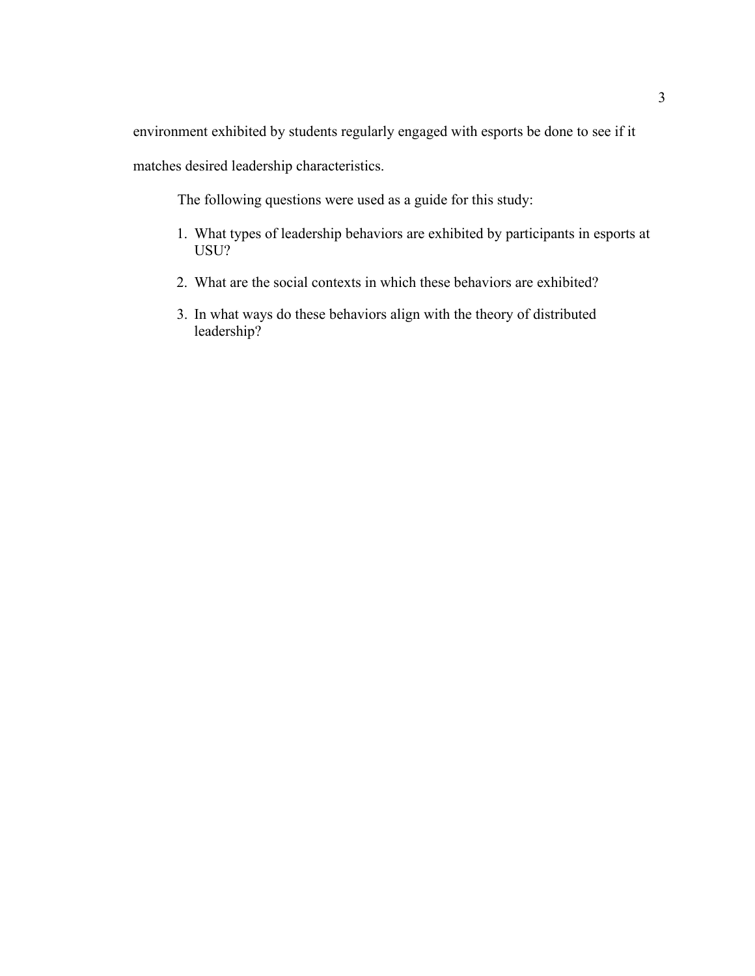environment exhibited by students regularly engaged with esports be done to see if it

matches desired leadership characteristics.

The following questions were used as a guide for this study:

- 1. What types of leadership behaviors are exhibited by participants in esports at USU?
- 2. What are the social contexts in which these behaviors are exhibited?
- 3. In what ways do these behaviors align with the theory of distributed leadership?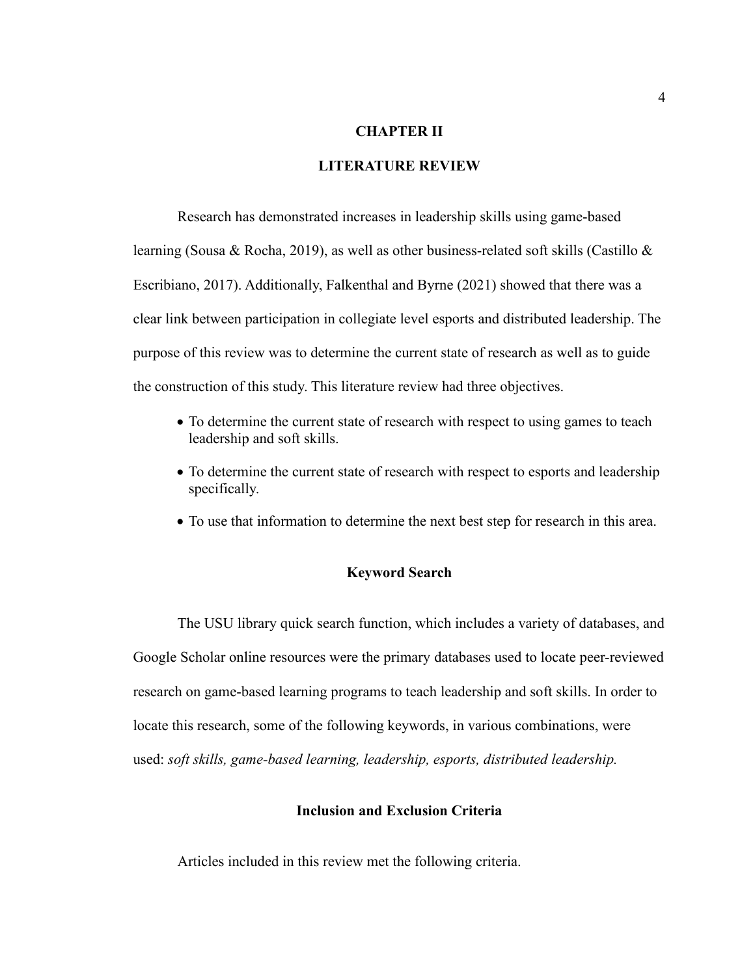## **CHAPTER II**

## **LITERATURE REVIEW**

Research has demonstrated increases in leadership skills using game-based learning (Sousa & Rocha, 2019), as well as other business-related soft skills (Castillo & Escribiano, 2017). Additionally, Falkenthal and Byrne (2021) showed that there was a clear link between participation in collegiate level esports and distributed leadership. The purpose of this review was to determine the current state of research as well as to guide the construction of this study. This literature review had three objectives.

- To determine the current state of research with respect to using games to teach leadership and soft skills.
- To determine the current state of research with respect to esports and leadership specifically.
- To use that information to determine the next best step for research in this area.

#### **Keyword Search**

The USU library quick search function, which includes a variety of databases, and Google Scholar online resources were the primary databases used to locate peer-reviewed research on game-based learning programs to teach leadership and soft skills. In order to locate this research, some of the following keywords, in various combinations, were used: *soft skills, game-based learning, leadership, esports, distributed leadership.*

## **Inclusion and Exclusion Criteria**

Articles included in this review met the following criteria.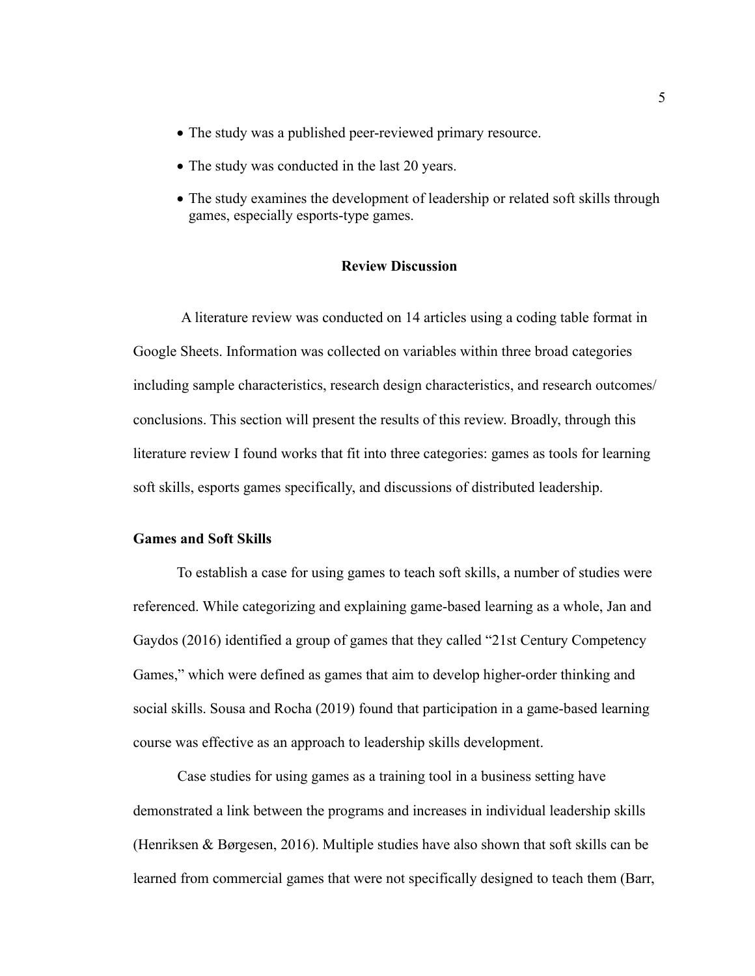- The study was a published peer-reviewed primary resource.
- The study was conducted in the last 20 years.
- The study examines the development of leadership or related soft skills through games, especially esports-type games.

## **Review Discussion**

A literature review was conducted on 14 articles using a coding table format in Google Sheets. Information was collected on variables within three broad categories including sample characteristics, research design characteristics, and research outcomes/ conclusions. This section will present the results of this review. Broadly, through this literature review I found works that fit into three categories: games as tools for learning soft skills, esports games specifically, and discussions of distributed leadership.

#### **Games and Soft Skills**

To establish a case for using games to teach soft skills, a number of studies were referenced. While categorizing and explaining game-based learning as a whole, Jan and Gaydos (2016) identified a group of games that they called "21st Century Competency Games," which were defined as games that aim to develop higher-order thinking and social skills. Sousa and Rocha (2019) found that participation in a game-based learning course was effective as an approach to leadership skills development.

Case studies for using games as a training tool in a business setting have demonstrated a link between the programs and increases in individual leadership skills (Henriksen & Børgesen, 2016). Multiple studies have also shown that soft skills can be learned from commercial games that were not specifically designed to teach them (Barr,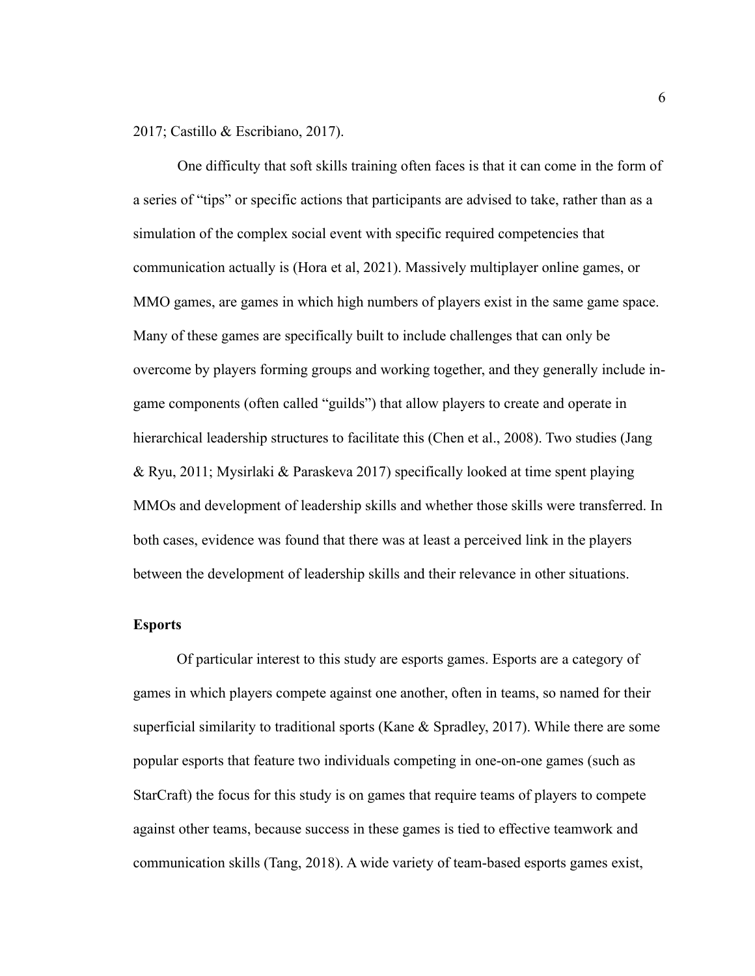2017; Castillo & Escribiano, 2017).

One difficulty that soft skills training often faces is that it can come in the form of a series of "tips" or specific actions that participants are advised to take, rather than as a simulation of the complex social event with specific required competencies that communication actually is (Hora et al, 2021). Massively multiplayer online games, or MMO games, are games in which high numbers of players exist in the same game space. Many of these games are specifically built to include challenges that can only be overcome by players forming groups and working together, and they generally include ingame components (often called "guilds") that allow players to create and operate in hierarchical leadership structures to facilitate this (Chen et al., 2008). Two studies (Jang & Ryu, 2011; Mysirlaki & Paraskeva 2017) specifically looked at time spent playing MMOs and development of leadership skills and whether those skills were transferred. In both cases, evidence was found that there was at least a perceived link in the players between the development of leadership skills and their relevance in other situations.

#### **Esports**

Of particular interest to this study are esports games. Esports are a category of games in which players compete against one another, often in teams, so named for their superficial similarity to traditional sports (Kane & Spradley, 2017). While there are some popular esports that feature two individuals competing in one-on-one games (such as StarCraft) the focus for this study is on games that require teams of players to compete against other teams, because success in these games is tied to effective teamwork and communication skills (Tang, 2018). A wide variety of team-based esports games exist,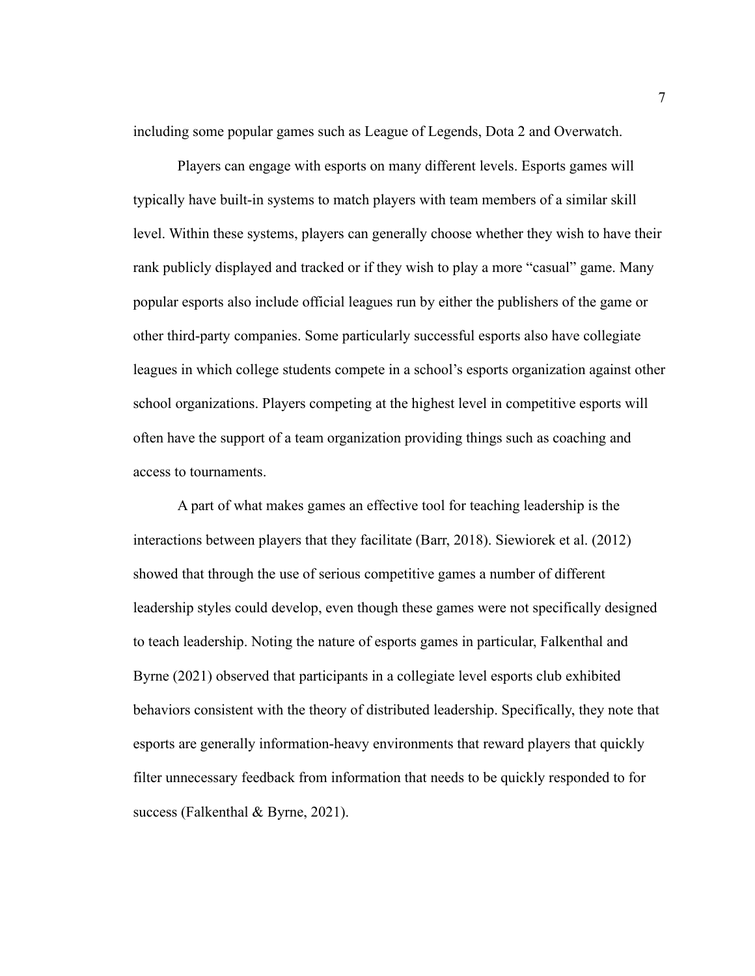including some popular games such as League of Legends, Dota 2 and Overwatch.

Players can engage with esports on many different levels. Esports games will typically have built-in systems to match players with team members of a similar skill level. Within these systems, players can generally choose whether they wish to have their rank publicly displayed and tracked or if they wish to play a more "casual" game. Many popular esports also include official leagues run by either the publishers of the game or other third-party companies. Some particularly successful esports also have collegiate leagues in which college students compete in a school's esports organization against other school organizations. Players competing at the highest level in competitive esports will often have the support of a team organization providing things such as coaching and access to tournaments.

A part of what makes games an effective tool for teaching leadership is the interactions between players that they facilitate (Barr, 2018). Siewiorek et al. (2012) showed that through the use of serious competitive games a number of different leadership styles could develop, even though these games were not specifically designed to teach leadership. Noting the nature of esports games in particular, Falkenthal and Byrne (2021) observed that participants in a collegiate level esports club exhibited behaviors consistent with the theory of distributed leadership. Specifically, they note that esports are generally information-heavy environments that reward players that quickly filter unnecessary feedback from information that needs to be quickly responded to for success (Falkenthal & Byrne, 2021).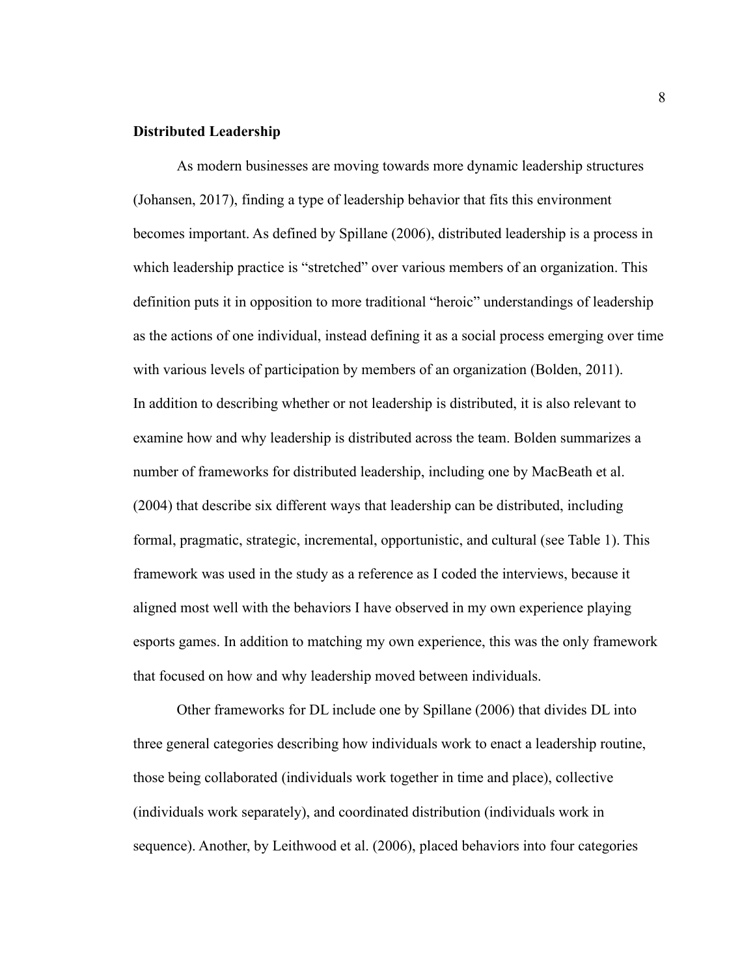#### **Distributed Leadership**

As modern businesses are moving towards more dynamic leadership structures (Johansen, 2017), finding a type of leadership behavior that fits this environment becomes important. As defined by Spillane (2006), distributed leadership is a process in which leadership practice is "stretched" over various members of an organization. This definition puts it in opposition to more traditional "heroic" understandings of leadership as the actions of one individual, instead defining it as a social process emerging over time with various levels of participation by members of an organization (Bolden, 2011). In addition to describing whether or not leadership is distributed, it is also relevant to examine how and why leadership is distributed across the team. Bolden summarizes a number of frameworks for distributed leadership, including one by MacBeath et al. (2004) that describe six different ways that leadership can be distributed, including formal, pragmatic, strategic, incremental, opportunistic, and cultural (see Table 1). This framework was used in the study as a reference as I coded the interviews, because it aligned most well with the behaviors I have observed in my own experience playing esports games. In addition to matching my own experience, this was the only framework that focused on how and why leadership moved between individuals.

Other frameworks for DL include one by Spillane (2006) that divides DL into three general categories describing how individuals work to enact a leadership routine, those being collaborated (individuals work together in time and place), collective (individuals work separately), and coordinated distribution (individuals work in sequence). Another, by Leithwood et al. (2006), placed behaviors into four categories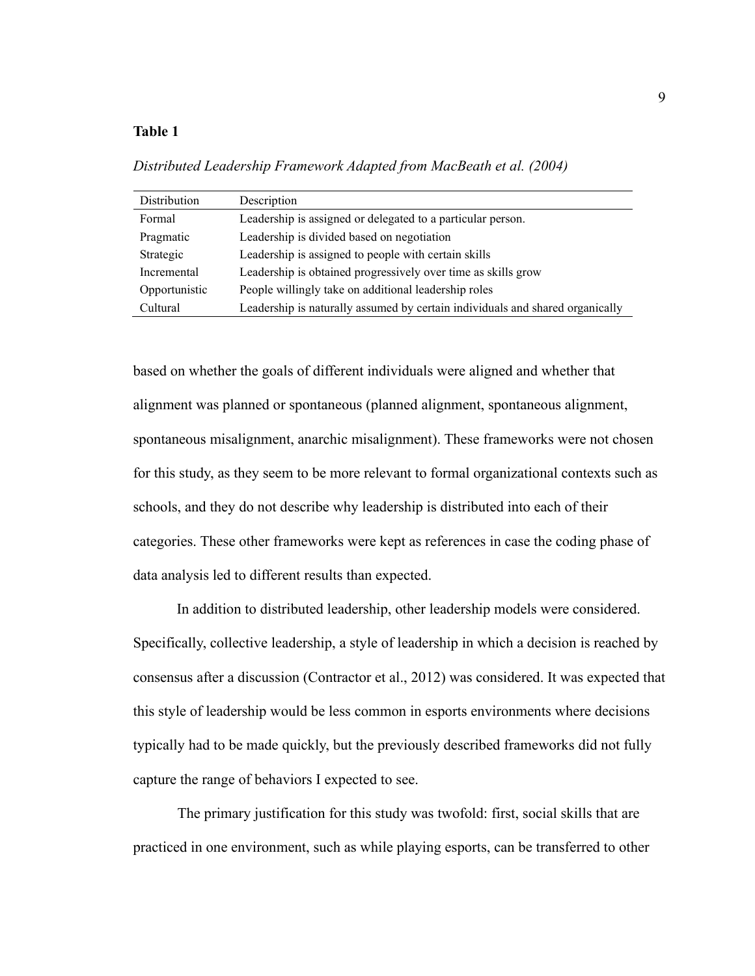## **Table 1**

*Distributed Leadership Framework Adapted from MacBeath et al. (2004)*

| Distribution  | Description                                                                   |  |
|---------------|-------------------------------------------------------------------------------|--|
| Formal        | Leadership is assigned or delegated to a particular person.                   |  |
| Pragmatic     | Leadership is divided based on negotiation                                    |  |
| Strategic     | Leadership is assigned to people with certain skills                          |  |
| Incremental   | Leadership is obtained progressively over time as skills grow                 |  |
| Opportunistic | People willingly take on additional leadership roles                          |  |
| Cultural      | Leadership is naturally assumed by certain individuals and shared organically |  |

based on whether the goals of different individuals were aligned and whether that alignment was planned or spontaneous (planned alignment, spontaneous alignment, spontaneous misalignment, anarchic misalignment). These frameworks were not chosen for this study, as they seem to be more relevant to formal organizational contexts such as schools, and they do not describe why leadership is distributed into each of their categories. These other frameworks were kept as references in case the coding phase of data analysis led to different results than expected.

In addition to distributed leadership, other leadership models were considered. Specifically, collective leadership, a style of leadership in which a decision is reached by consensus after a discussion (Contractor et al., 2012) was considered. It was expected that this style of leadership would be less common in esports environments where decisions typically had to be made quickly, but the previously described frameworks did not fully capture the range of behaviors I expected to see.

The primary justification for this study was twofold: first, social skills that are practiced in one environment, such as while playing esports, can be transferred to other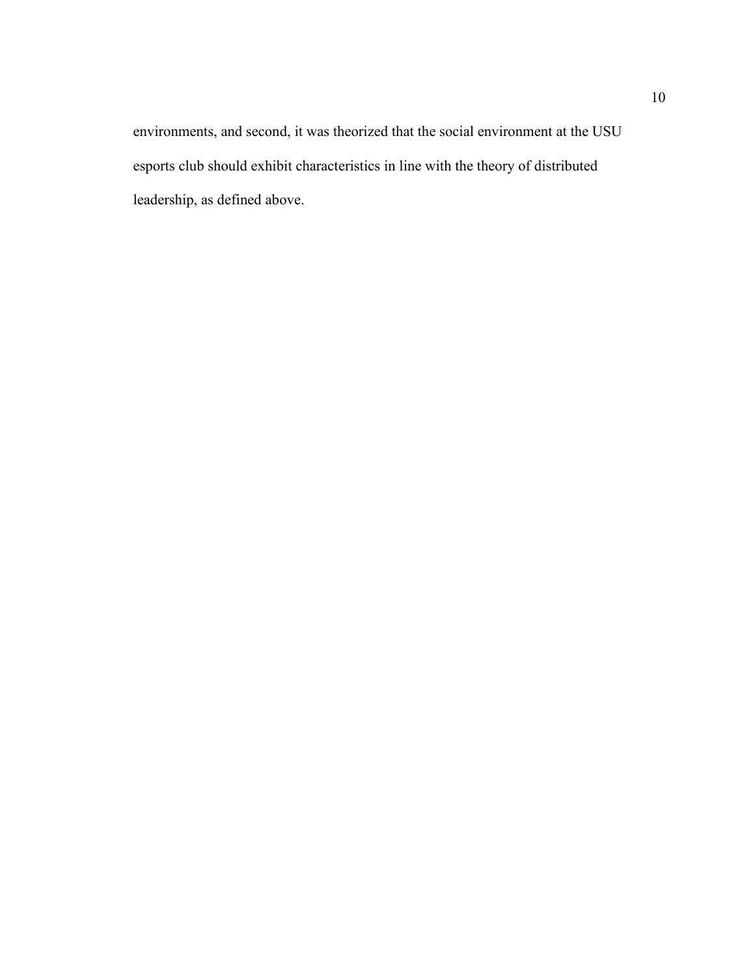environments, and second, it was theorized that the social environment at the USU esports club should exhibit characteristics in line with the theory of distributed leadership, as defined above.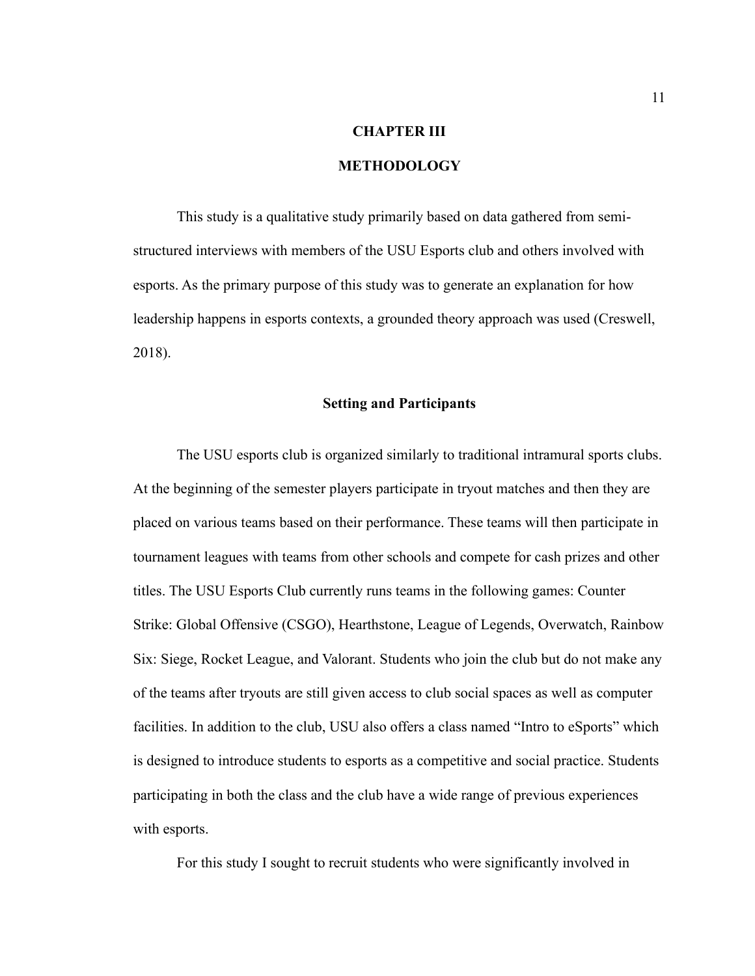## **CHAPTER III**

## **METHODOLOGY**

This study is a qualitative study primarily based on data gathered from semistructured interviews with members of the USU Esports club and others involved with esports. As the primary purpose of this study was to generate an explanation for how leadership happens in esports contexts, a grounded theory approach was used (Creswell, 2018).

#### **Setting and Participants**

The USU esports club is organized similarly to traditional intramural sports clubs. At the beginning of the semester players participate in tryout matches and then they are placed on various teams based on their performance. These teams will then participate in tournament leagues with teams from other schools and compete for cash prizes and other titles. The USU Esports Club currently runs teams in the following games: Counter Strike: Global Offensive (CSGO), Hearthstone, League of Legends, Overwatch, Rainbow Six: Siege, Rocket League, and Valorant. Students who join the club but do not make any of the teams after tryouts are still given access to club social spaces as well as computer facilities. In addition to the club, USU also offers a class named "Intro to eSports" which is designed to introduce students to esports as a competitive and social practice. Students participating in both the class and the club have a wide range of previous experiences with esports.

For this study I sought to recruit students who were significantly involved in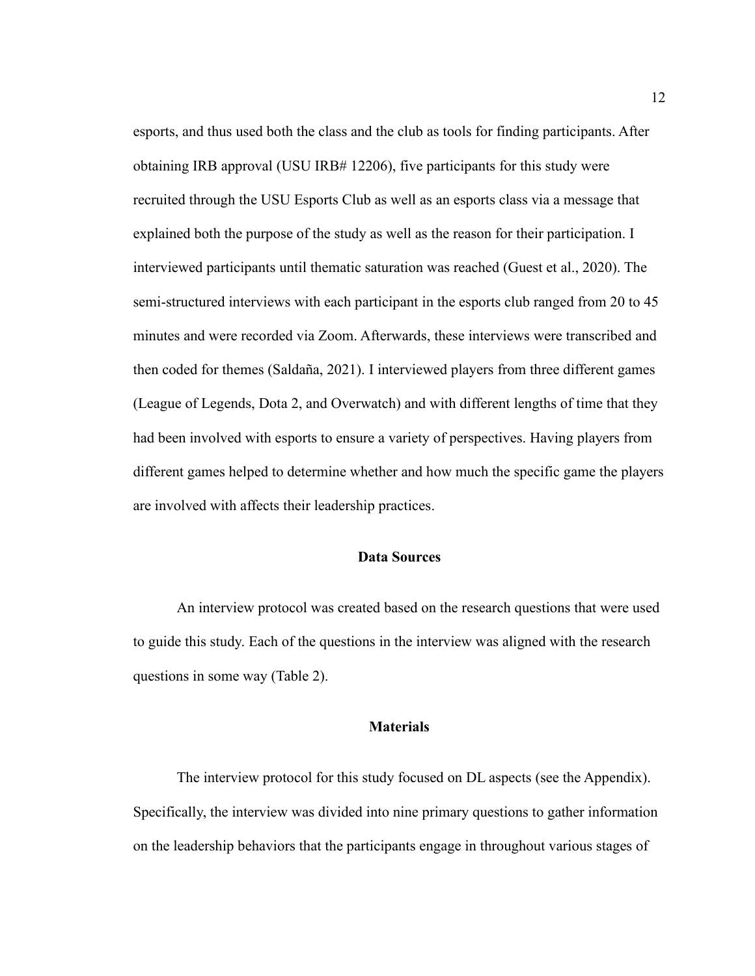esports, and thus used both the class and the club as tools for finding participants. After obtaining IRB approval (USU IRB# 12206), five participants for this study were recruited through the USU Esports Club as well as an esports class via a message that explained both the purpose of the study as well as the reason for their participation. I interviewed participants until thematic saturation was reached (Guest et al., 2020). The semi-structured interviews with each participant in the esports club ranged from 20 to 45 minutes and were recorded via Zoom. Afterwards, these interviews were transcribed and then coded for themes (Saldaña, 2021). I interviewed players from three different games (League of Legends, Dota 2, and Overwatch) and with different lengths of time that they had been involved with esports to ensure a variety of perspectives. Having players from different games helped to determine whether and how much the specific game the players are involved with affects their leadership practices.

## **Data Sources**

An interview protocol was created based on the research questions that were used to guide this study. Each of the questions in the interview was aligned with the research questions in some way (Table 2).

#### **Materials**

The interview protocol for this study focused on DL aspects (see the Appendix). Specifically, the interview was divided into nine primary questions to gather information on the leadership behaviors that the participants engage in throughout various stages of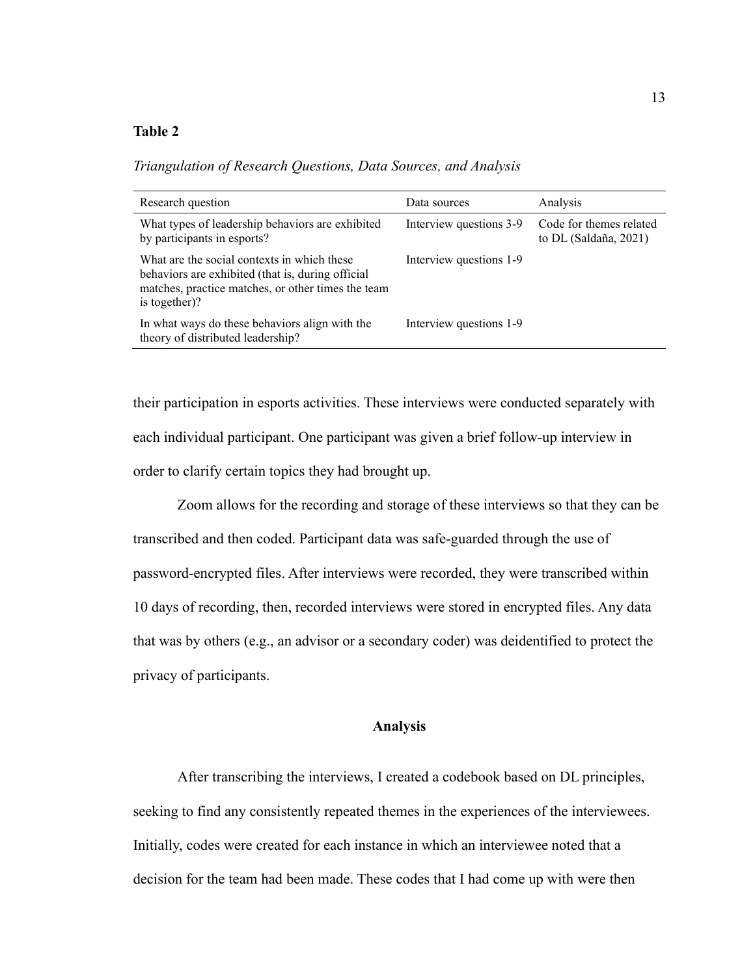## **Table 2**

| Research question                                                                                                                                                       | Data sources            | Analysis                                         |
|-------------------------------------------------------------------------------------------------------------------------------------------------------------------------|-------------------------|--------------------------------------------------|
| What types of leadership behaviors are exhibited<br>by participants in esports?                                                                                         | Interview questions 3-9 | Code for themes related<br>to DL (Saldaña, 2021) |
| What are the social contexts in which these<br>behaviors are exhibited (that is, during official<br>matches, practice matches, or other times the team<br>is together)? | Interview questions 1-9 |                                                  |
| In what ways do these behaviors align with the<br>theory of distributed leadership?                                                                                     | Interview questions 1-9 |                                                  |

*Triangulation of Research Questions, Data Sources, and Analysis*

their participation in esports activities. These interviews were conducted separately with each individual participant. One participant was given a brief follow-up interview in order to clarify certain topics they had brought up.

Zoom allows for the recording and storage of these interviews so that they can be transcribed and then coded. Participant data was safe-guarded through the use of password-encrypted files. After interviews were recorded, they were transcribed within 10 days of recording, then, recorded interviews were stored in encrypted files. Any data that was by others (e.g., an advisor or a secondary coder) was deidentified to protect the privacy of participants.

### **Analysis**

After transcribing the interviews, I created a codebook based on DL principles, seeking to find any consistently repeated themes in the experiences of the interviewees. Initially, codes were created for each instance in which an interviewee noted that a decision for the team had been made. These codes that I had come up with were then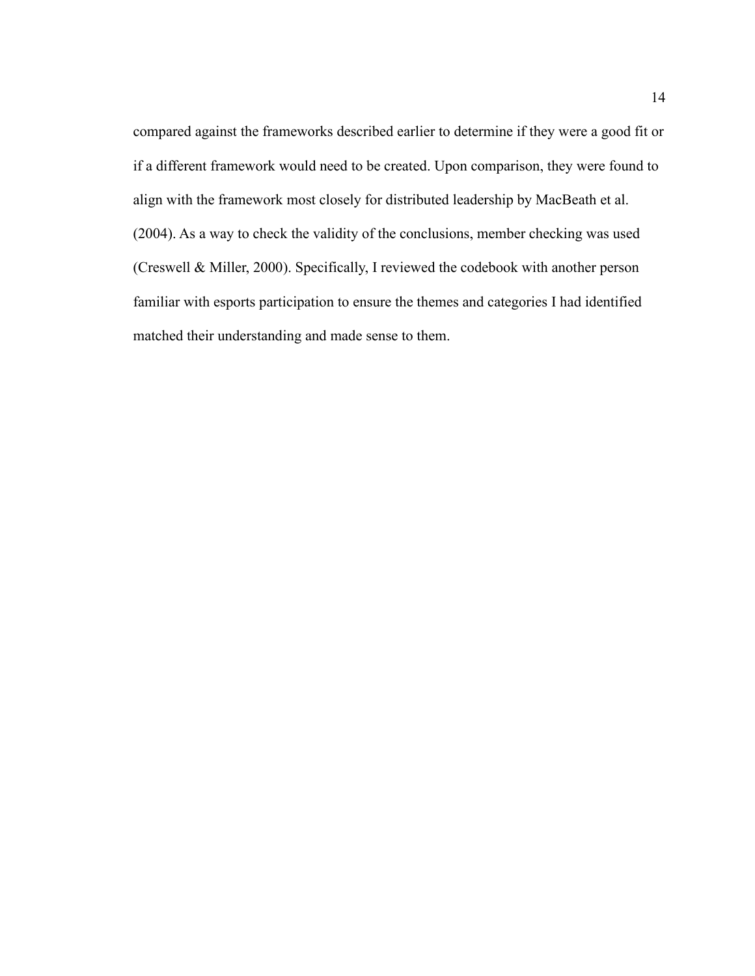compared against the frameworks described earlier to determine if they were a good fit or if a different framework would need to be created. Upon comparison, they were found to align with the framework most closely for distributed leadership by MacBeath et al. (2004). As a way to check the validity of the conclusions, member checking was used (Creswell & Miller, 2000). Specifically, I reviewed the codebook with another person familiar with esports participation to ensure the themes and categories I had identified matched their understanding and made sense to them.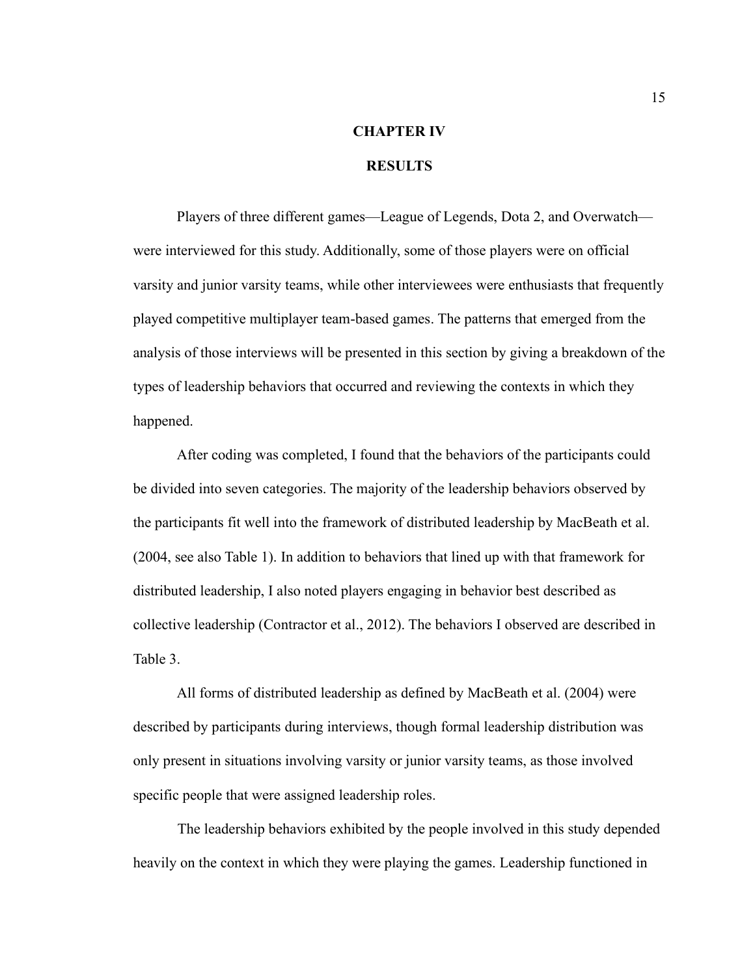# **CHAPTER IV**

## **RESULTS**

Players of three different games—League of Legends, Dota 2, and Overwatch were interviewed for this study. Additionally, some of those players were on official varsity and junior varsity teams, while other interviewees were enthusiasts that frequently played competitive multiplayer team-based games. The patterns that emerged from the analysis of those interviews will be presented in this section by giving a breakdown of the types of leadership behaviors that occurred and reviewing the contexts in which they happened.

After coding was completed, I found that the behaviors of the participants could be divided into seven categories. The majority of the leadership behaviors observed by the participants fit well into the framework of distributed leadership by MacBeath et al. (2004, see also Table 1). In addition to behaviors that lined up with that framework for distributed leadership, I also noted players engaging in behavior best described as collective leadership (Contractor et al., 2012). The behaviors I observed are described in Table 3.

All forms of distributed leadership as defined by MacBeath et al. (2004) were described by participants during interviews, though formal leadership distribution was only present in situations involving varsity or junior varsity teams, as those involved specific people that were assigned leadership roles.

The leadership behaviors exhibited by the people involved in this study depended heavily on the context in which they were playing the games. Leadership functioned in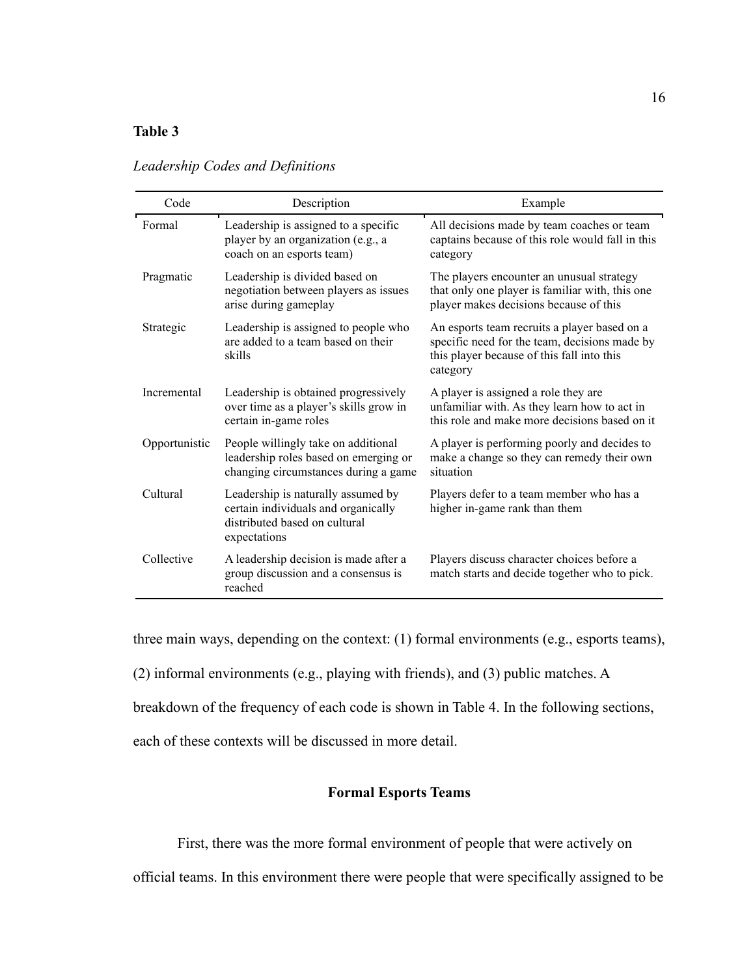## **Table 3**

| Code          | Description                                                                                                                | Example                                                                                                                                                 |
|---------------|----------------------------------------------------------------------------------------------------------------------------|---------------------------------------------------------------------------------------------------------------------------------------------------------|
| Formal        | Leadership is assigned to a specific<br>player by an organization (e.g., a<br>coach on an esports team)                    | All decisions made by team coaches or team<br>captains because of this role would fall in this<br>category                                              |
| Pragmatic     | Leadership is divided based on<br>negotiation between players as issues<br>arise during gameplay                           | The players encounter an unusual strategy<br>that only one player is familiar with, this one<br>player makes decisions because of this                  |
| Strategic     | Leadership is assigned to people who<br>are added to a team based on their<br>skills                                       | An esports team recruits a player based on a<br>specific need for the team, decisions made by<br>this player because of this fall into this<br>category |
| Incremental   | Leadership is obtained progressively<br>over time as a player's skills grow in<br>certain in-game roles                    | A player is assigned a role they are<br>unfamiliar with. As they learn how to act in<br>this role and make more decisions based on it                   |
| Opportunistic | People willingly take on additional<br>leadership roles based on emerging or<br>changing circumstances during a game       | A player is performing poorly and decides to<br>make a change so they can remedy their own<br>situation                                                 |
| Cultural      | Leadership is naturally assumed by<br>certain individuals and organically<br>distributed based on cultural<br>expectations | Players defer to a team member who has a<br>higher in-game rank than them                                                                               |
| Collective    | A leadership decision is made after a<br>group discussion and a consensus is<br>reached                                    | Players discuss character choices before a<br>match starts and decide together who to pick.                                                             |

# *Leadership Codes and Definitions*

three main ways, depending on the context: (1) formal environments (e.g., esports teams),

(2) informal environments (e.g., playing with friends), and (3) public matches. A

breakdown of the frequency of each code is shown in Table 4. In the following sections,

each of these contexts will be discussed in more detail.

### **Formal Esports Teams**

First, there was the more formal environment of people that were actively on

official teams. In this environment there were people that were specifically assigned to be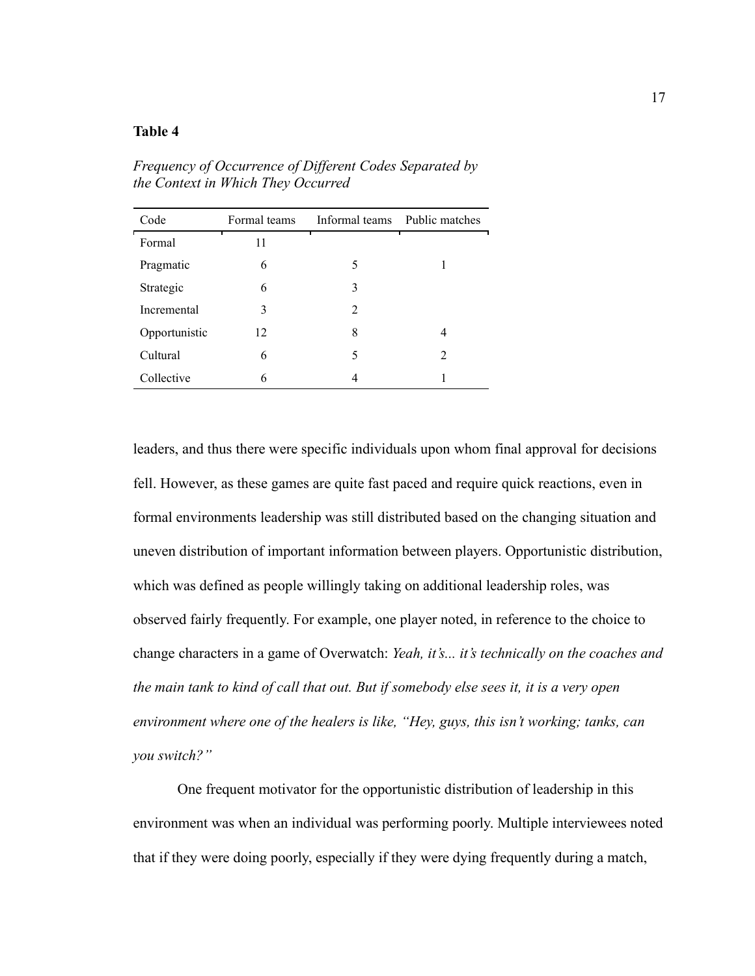## **Table 4**

| Code          | Formal teams | Informal teams Public matches |                |
|---------------|--------------|-------------------------------|----------------|
| Formal        | 11           |                               |                |
| Pragmatic     | 6            | 5                             |                |
| Strategic     | 6            | 3                             |                |
| Incremental   | 3            | $\mathfrak{D}$                |                |
| Opportunistic | 12           | 8                             | 4              |
| Cultural      | 6            | 5                             | $\mathfrak{D}$ |
| Collective    | 6            |                               |                |

*Frequency of Occurrence of Different Codes Separated by the Context in Which They Occurred*

leaders, and thus there were specific individuals upon whom final approval for decisions fell. However, as these games are quite fast paced and require quick reactions, even in formal environments leadership was still distributed based on the changing situation and uneven distribution of important information between players. Opportunistic distribution, which was defined as people willingly taking on additional leadership roles, was observed fairly frequently. For example, one player noted, in reference to the choice to change characters in a game of Overwatch: *Yeah, it's... it's technically on the coaches and the main tank to kind of call that out. But if somebody else sees it, it is a very open*  environment where one of the healers is like, "Hey, guys, this *isn't working; tanks, can you switch?"*

One frequent motivator for the opportunistic distribution of leadership in this environment was when an individual was performing poorly. Multiple interviewees noted that if they were doing poorly, especially if they were dying frequently during a match,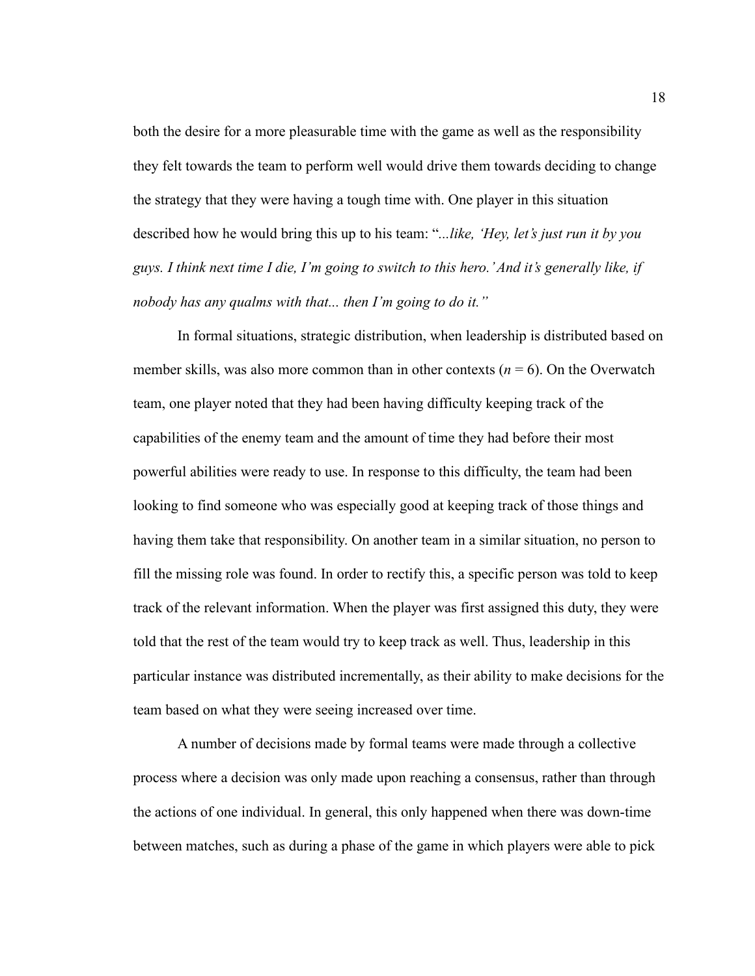both the desire for a more pleasurable time with the game as well as the responsibility they felt towards the team to perform well would drive them towards deciding to change the strategy that they were having a tough time with. One player in this situation described how he would bring this up to his team: "*...like, 'Hey, let's just run it by you guys. I think next time I die, I'm going to switch to this hero.' And it's generally like, if nobody has any qualms with that... then I'm going to do it."*

In formal situations, strategic distribution, when leadership is distributed based on member skills, was also more common than in other contexts  $(n = 6)$ . On the Overwatch team, one player noted that they had been having difficulty keeping track of the capabilities of the enemy team and the amount of time they had before their most powerful abilities were ready to use. In response to this difficulty, the team had been looking to find someone who was especially good at keeping track of those things and having them take that responsibility. On another team in a similar situation, no person to fill the missing role was found. In order to rectify this, a specific person was told to keep track of the relevant information. When the player was first assigned this duty, they were told that the rest of the team would try to keep track as well. Thus, leadership in this particular instance was distributed incrementally, as their ability to make decisions for the team based on what they were seeing increased over time.

A number of decisions made by formal teams were made through a collective process where a decision was only made upon reaching a consensus, rather than through the actions of one individual. In general, this only happened when there was down-time between matches, such as during a phase of the game in which players were able to pick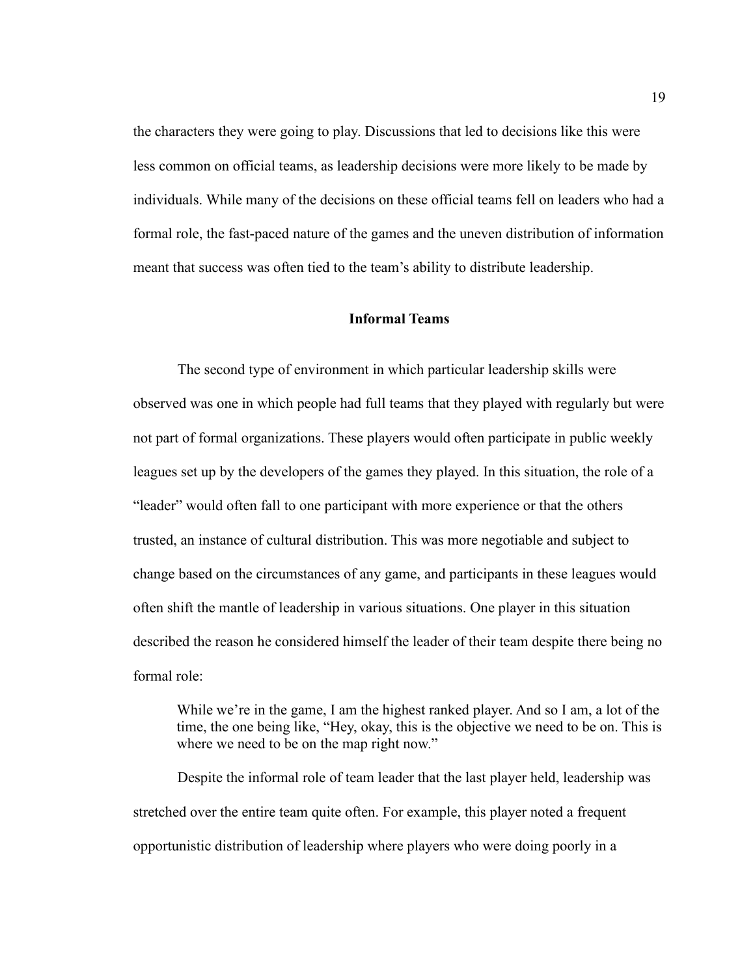the characters they were going to play. Discussions that led to decisions like this were less common on official teams, as leadership decisions were more likely to be made by individuals. While many of the decisions on these official teams fell on leaders who had a formal role, the fast-paced nature of the games and the uneven distribution of information meant that success was often tied to the team's ability to distribute leadership.

## **Informal Teams**

The second type of environment in which particular leadership skills were observed was one in which people had full teams that they played with regularly but were not part of formal organizations. These players would often participate in public weekly leagues set up by the developers of the games they played. In this situation, the role of a "leader" would often fall to one participant with more experience or that the others trusted, an instance of cultural distribution. This was more negotiable and subject to change based on the circumstances of any game, and participants in these leagues would often shift the mantle of leadership in various situations. One player in this situation described the reason he considered himself the leader of their team despite there being no formal role:

While we're in the game, I am the highest ranked player. And so I am, a lot of the time, the one being like, "Hey, okay, this is the objective we need to be on. This is where we need to be on the map right now."

Despite the informal role of team leader that the last player held, leadership was stretched over the entire team quite often. For example, this player noted a frequent opportunistic distribution of leadership where players who were doing poorly in a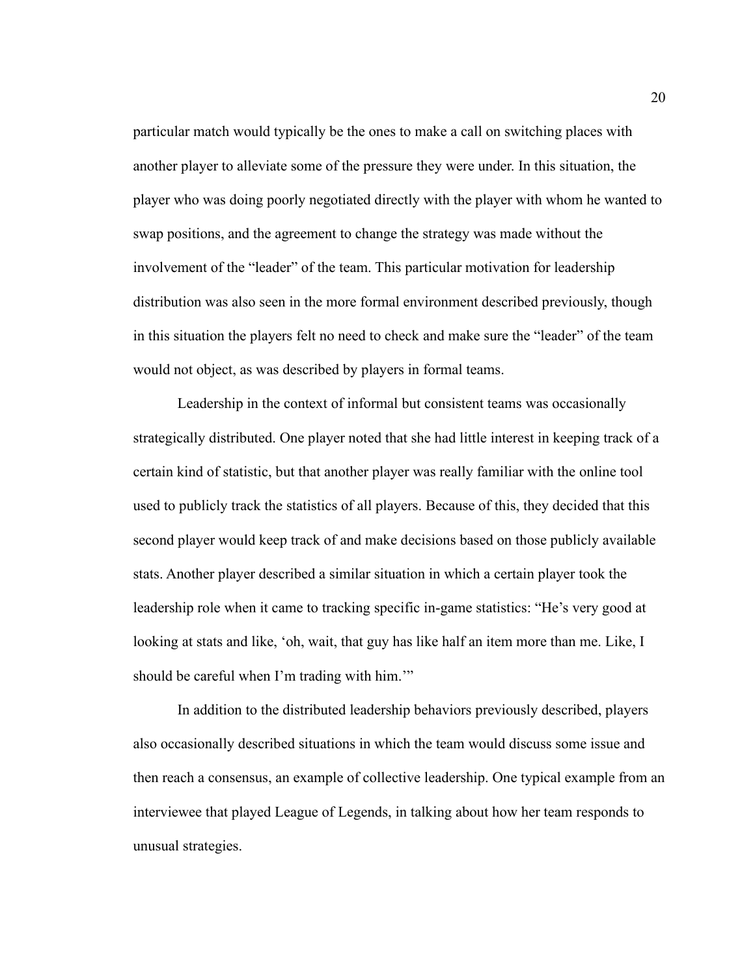particular match would typically be the ones to make a call on switching places with another player to alleviate some of the pressure they were under. In this situation, the player who was doing poorly negotiated directly with the player with whom he wanted to swap positions, and the agreement to change the strategy was made without the involvement of the "leader" of the team. This particular motivation for leadership distribution was also seen in the more formal environment described previously, though in this situation the players felt no need to check and make sure the "leader" of the team would not object, as was described by players in formal teams.

Leadership in the context of informal but consistent teams was occasionally strategically distributed. One player noted that she had little interest in keeping track of a certain kind of statistic, but that another player was really familiar with the online tool used to publicly track the statistics of all players. Because of this, they decided that this second player would keep track of and make decisions based on those publicly available stats. Another player described a similar situation in which a certain player took the leadership role when it came to tracking specific in-game statistics: "He's very good at looking at stats and like, 'oh, wait, that guy has like half an item more than me. Like, I should be careful when I'm trading with him."

In addition to the distributed leadership behaviors previously described, players also occasionally described situations in which the team would discuss some issue and then reach a consensus, an example of collective leadership. One typical example from an interviewee that played League of Legends, in talking about how her team responds to unusual strategies.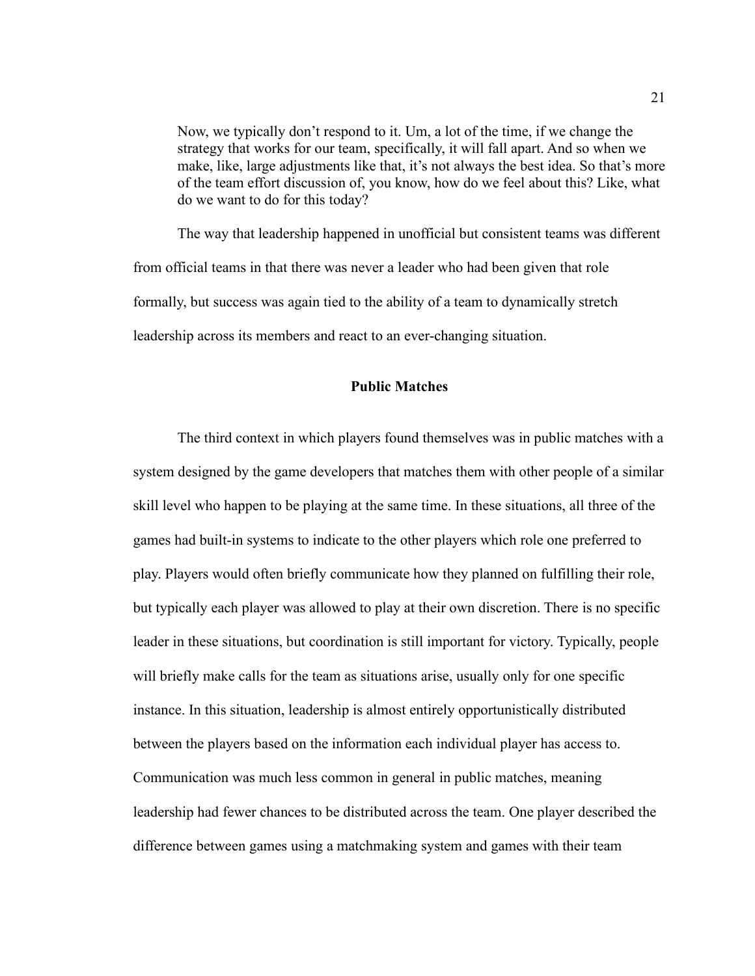Now, we typically don't respond to it. Um, a lot of the time, if we change the strategy that works for our team, specifically, it will fall apart. And so when we make, like, large adjustments like that, it's not always the best idea. So that's more of the team effort discussion of, you know, how do we feel about this? Like, what do we want to do for this today?

The way that leadership happened in unofficial but consistent teams was different from official teams in that there was never a leader who had been given that role formally, but success was again tied to the ability of a team to dynamically stretch leadership across its members and react to an ever-changing situation.

#### **Public Matches**

The third context in which players found themselves was in public matches with a system designed by the game developers that matches them with other people of a similar skill level who happen to be playing at the same time. In these situations, all three of the games had built-in systems to indicate to the other players which role one preferred to play. Players would often briefly communicate how they planned on fulfilling their role, but typically each player was allowed to play at their own discretion. There is no specific leader in these situations, but coordination is still important for victory. Typically, people will briefly make calls for the team as situations arise, usually only for one specific instance. In this situation, leadership is almost entirely opportunistically distributed between the players based on the information each individual player has access to. Communication was much less common in general in public matches, meaning leadership had fewer chances to be distributed across the team. One player described the difference between games using a matchmaking system and games with their team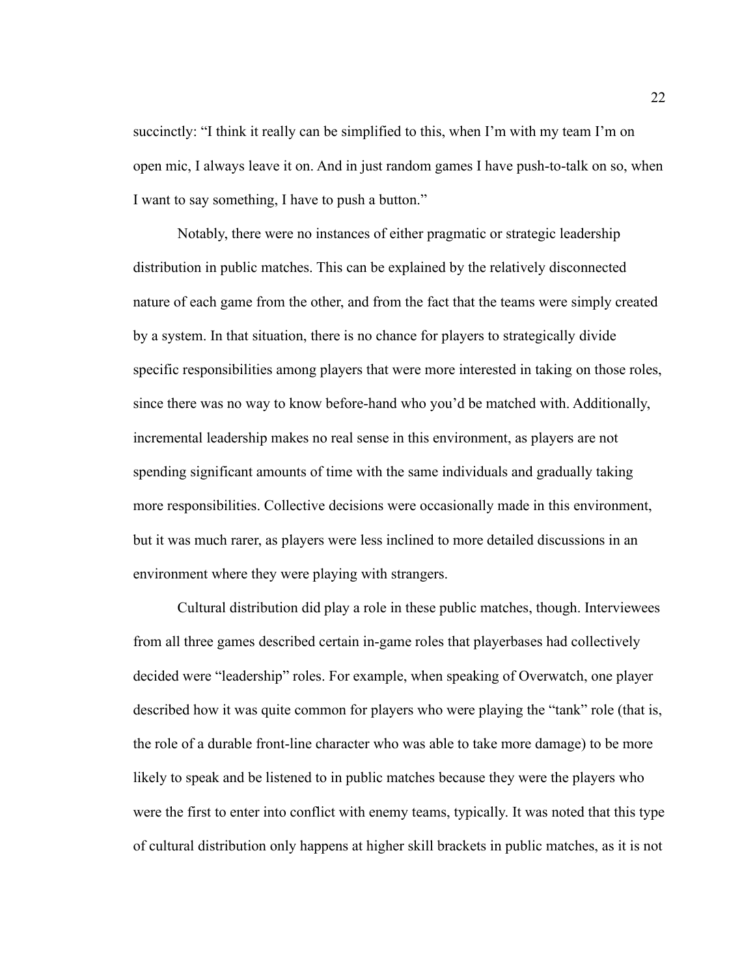succinctly: "I think it really can be simplified to this, when I'm with my team I'm on open mic, I always leave it on. And in just random games I have push-to-talk on so, when I want to say something, I have to push a button."

Notably, there were no instances of either pragmatic or strategic leadership distribution in public matches. This can be explained by the relatively disconnected nature of each game from the other, and from the fact that the teams were simply created by a system. In that situation, there is no chance for players to strategically divide specific responsibilities among players that were more interested in taking on those roles, since there was no way to know before-hand who you'd be matched with. Additionally, incremental leadership makes no real sense in this environment, as players are not spending significant amounts of time with the same individuals and gradually taking more responsibilities. Collective decisions were occasionally made in this environment, but it was much rarer, as players were less inclined to more detailed discussions in an environment where they were playing with strangers.

Cultural distribution did play a role in these public matches, though. Interviewees from all three games described certain in-game roles that playerbases had collectively decided were "leadership" roles. For example, when speaking of Overwatch, one player described how it was quite common for players who were playing the "tank" role (that is, the role of a durable front-line character who was able to take more damage) to be more likely to speak and be listened to in public matches because they were the players who were the first to enter into conflict with enemy teams, typically. It was noted that this type of cultural distribution only happens at higher skill brackets in public matches, as it is not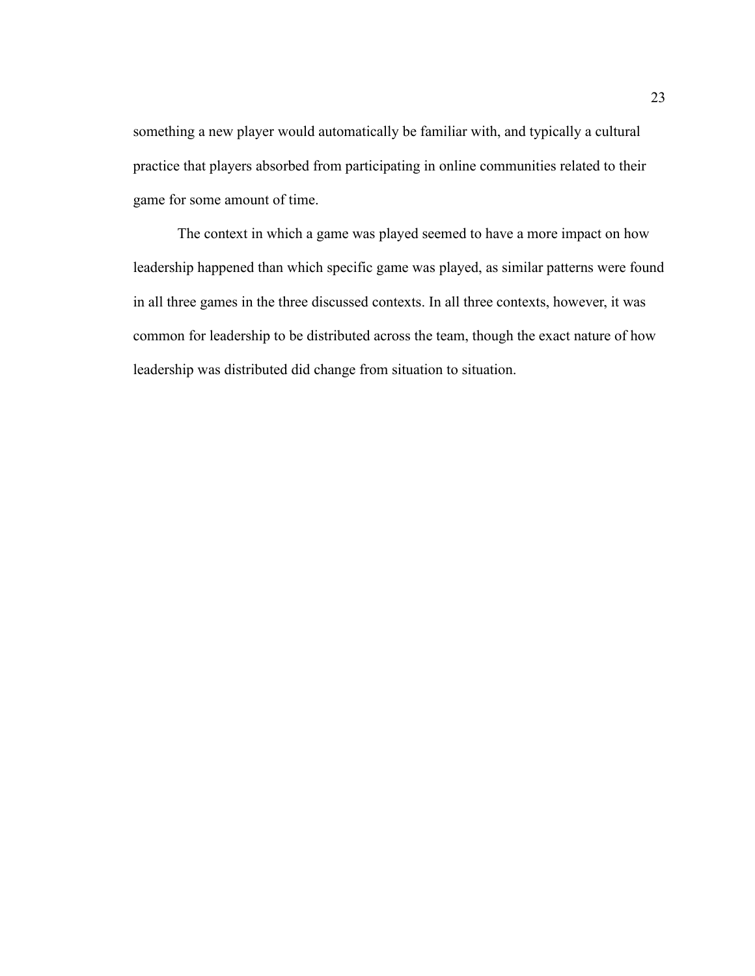something a new player would automatically be familiar with, and typically a cultural practice that players absorbed from participating in online communities related to their game for some amount of time.

The context in which a game was played seemed to have a more impact on how leadership happened than which specific game was played, as similar patterns were found in all three games in the three discussed contexts. In all three contexts, however, it was common for leadership to be distributed across the team, though the exact nature of how leadership was distributed did change from situation to situation.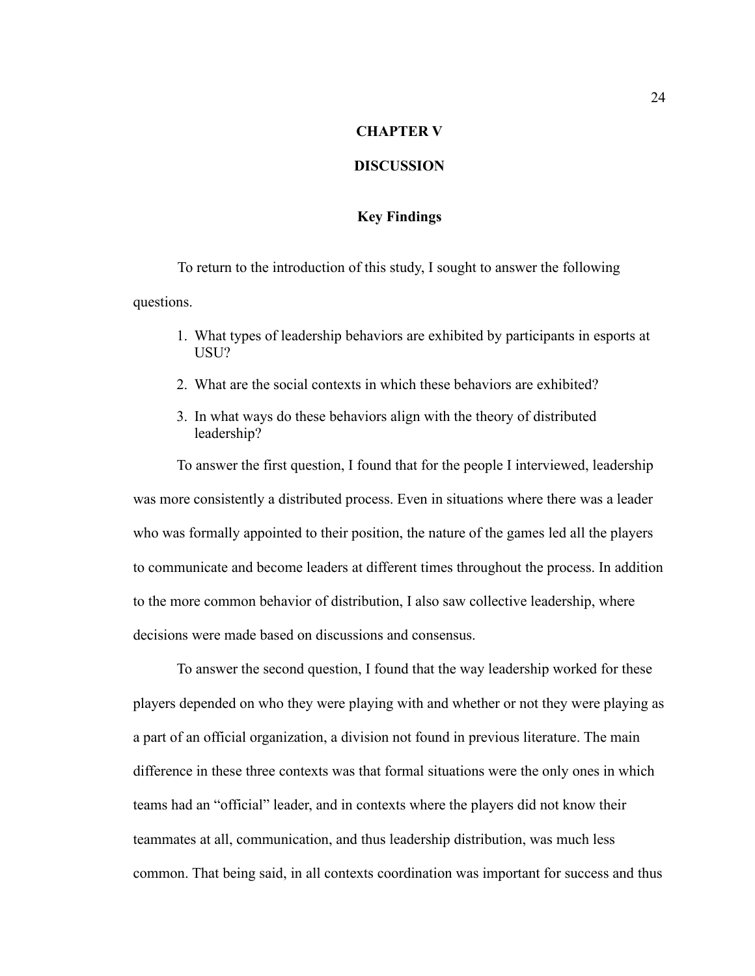## **CHAPTER V**

## **DISCUSSION**

## **Key Findings**

To return to the introduction of this study, I sought to answer the following questions.

- 1. What types of leadership behaviors are exhibited by participants in esports at USU?
- 2. What are the social contexts in which these behaviors are exhibited?
- 3. In what ways do these behaviors align with the theory of distributed leadership?

To answer the first question, I found that for the people I interviewed, leadership was more consistently a distributed process. Even in situations where there was a leader who was formally appointed to their position, the nature of the games led all the players to communicate and become leaders at different times throughout the process. In addition to the more common behavior of distribution, I also saw collective leadership, where decisions were made based on discussions and consensus.

To answer the second question, I found that the way leadership worked for these players depended on who they were playing with and whether or not they were playing as a part of an official organization, a division not found in previous literature. The main difference in these three contexts was that formal situations were the only ones in which teams had an "official" leader, and in contexts where the players did not know their teammates at all, communication, and thus leadership distribution, was much less common. That being said, in all contexts coordination was important for success and thus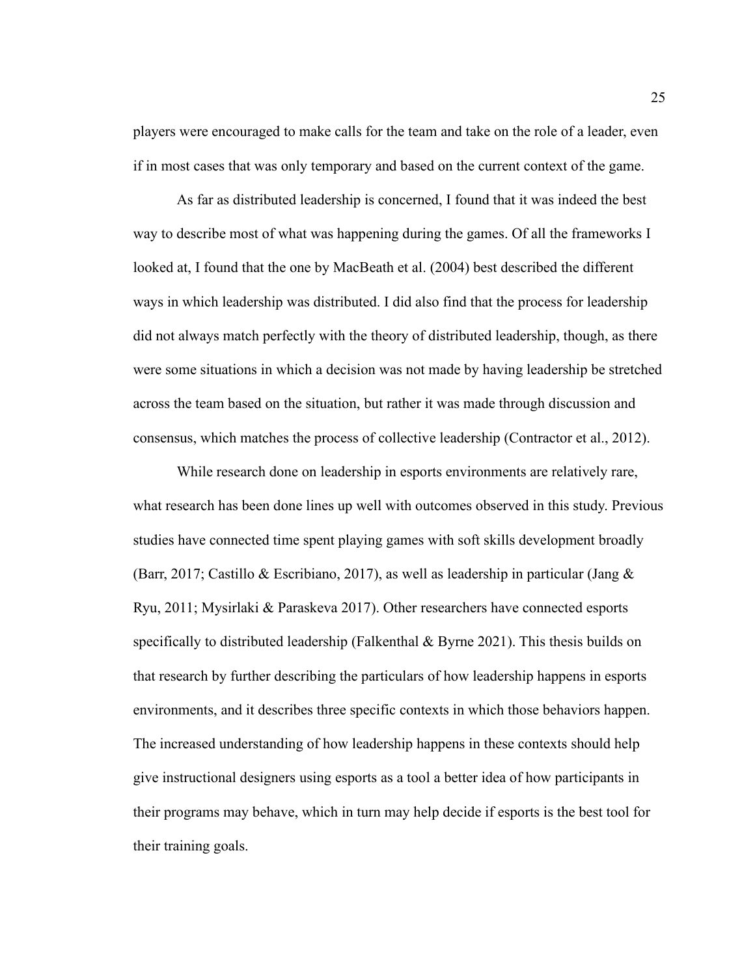players were encouraged to make calls for the team and take on the role of a leader, even if in most cases that was only temporary and based on the current context of the game.

As far as distributed leadership is concerned, I found that it was indeed the best way to describe most of what was happening during the games. Of all the frameworks I looked at, I found that the one by MacBeath et al. (2004) best described the different ways in which leadership was distributed. I did also find that the process for leadership did not always match perfectly with the theory of distributed leadership, though, as there were some situations in which a decision was not made by having leadership be stretched across the team based on the situation, but rather it was made through discussion and consensus, which matches the process of collective leadership (Contractor et al., 2012).

While research done on leadership in esports environments are relatively rare, what research has been done lines up well with outcomes observed in this study. Previous studies have connected time spent playing games with soft skills development broadly (Barr, 2017; Castillo & Escribiano, 2017), as well as leadership in particular (Jang & Ryu, 2011; Mysirlaki & Paraskeva 2017). Other researchers have connected esports specifically to distributed leadership (Falkenthal & Byrne 2021). This thesis builds on that research by further describing the particulars of how leadership happens in esports environments, and it describes three specific contexts in which those behaviors happen. The increased understanding of how leadership happens in these contexts should help give instructional designers using esports as a tool a better idea of how participants in their programs may behave, which in turn may help decide if esports is the best tool for their training goals.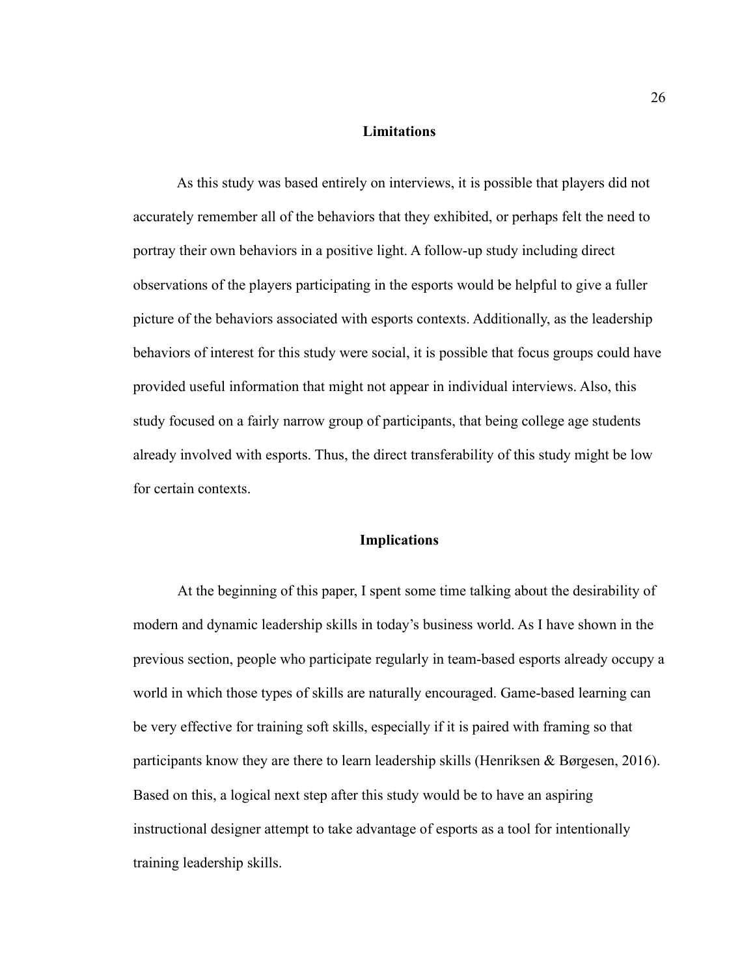#### **Limitations**

As this study was based entirely on interviews, it is possible that players did not accurately remember all of the behaviors that they exhibited, or perhaps felt the need to portray their own behaviors in a positive light. A follow-up study including direct observations of the players participating in the esports would be helpful to give a fuller picture of the behaviors associated with esports contexts. Additionally, as the leadership behaviors of interest for this study were social, it is possible that focus groups could have provided useful information that might not appear in individual interviews. Also, this study focused on a fairly narrow group of participants, that being college age students already involved with esports. Thus, the direct transferability of this study might be low for certain contexts.

#### **Implications**

At the beginning of this paper, I spent some time talking about the desirability of modern and dynamic leadership skills in today's business world. As I have shown in the previous section, people who participate regularly in team-based esports already occupy a world in which those types of skills are naturally encouraged. Game-based learning can be very effective for training soft skills, especially if it is paired with framing so that participants know they are there to learn leadership skills (Henriksen & Børgesen, 2016). Based on this, a logical next step after this study would be to have an aspiring instructional designer attempt to take advantage of esports as a tool for intentionally training leadership skills.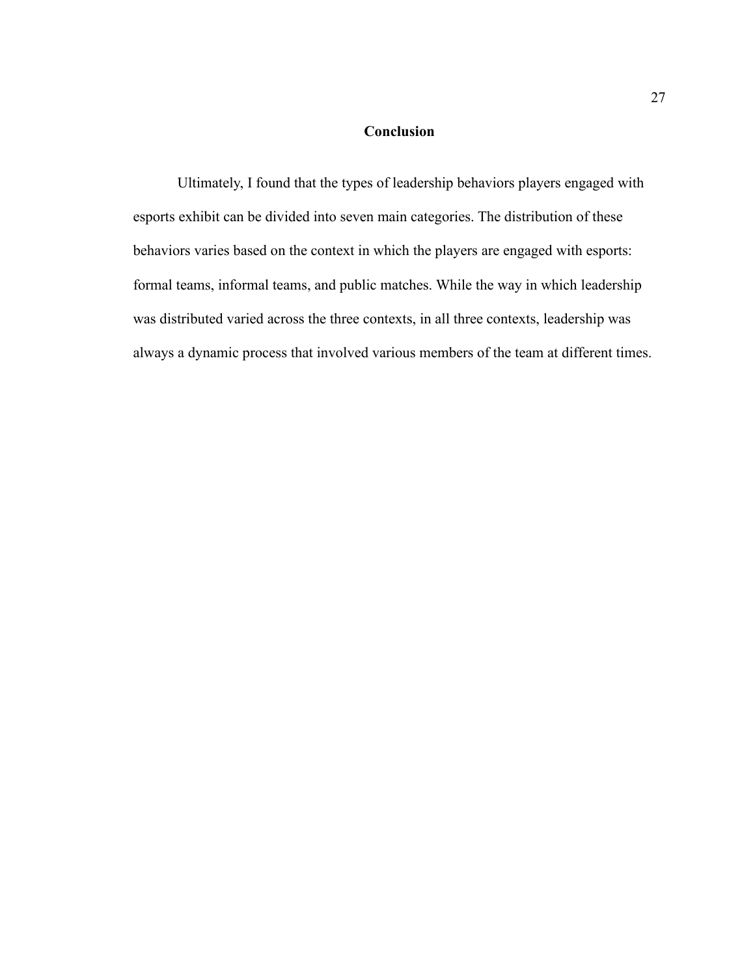## **Conclusion**

Ultimately, I found that the types of leadership behaviors players engaged with esports exhibit can be divided into seven main categories. The distribution of these behaviors varies based on the context in which the players are engaged with esports: formal teams, informal teams, and public matches. While the way in which leadership was distributed varied across the three contexts, in all three contexts, leadership was always a dynamic process that involved various members of the team at different times.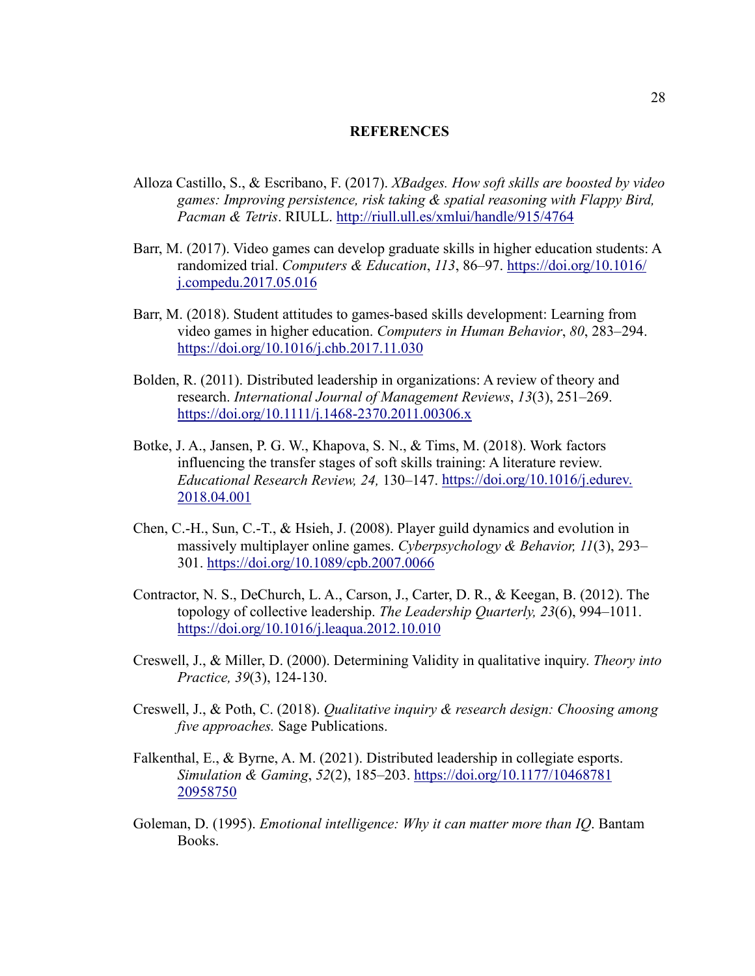#### **REFERENCES**

- Alloza Castillo, S., & Escribano, F. (2017). *XBadges. How soft skills are boosted by video games: Improving persistence, risk taking & spatial reasoning with Flappy Bird, Pacman & Tetris*. RIULL.<http://riull.ull.es/xmlui/handle/915/4764>
- Barr, M. (2017). Video games can develop graduate skills in higher education students: A randomized trial. *Computers & Education*, *113*, 86–97. [https://doi.org/10.1016/](https://doi.org/10.1016/%20j.compedu.2017.05.016) [j.compedu.2017.05.016](https://doi.org/10.1016/%20j.compedu.2017.05.016)
- Barr, M. (2018). Student attitudes to games-based skills development: Learning from video games in higher education. *Computers in Human Behavior*, *80*, 283–294. <https://doi.org/10.1016/j.chb.2017.11.030>
- Bolden, R. (2011). Distributed leadership in organizations: A review of theory and research. *International Journal of Management Reviews*, *13*(3), 251–269. <https://doi.org/10.1111/j.1468-2370.2011.00306.x>
- Botke, J. A., Jansen, P. G. W., Khapova, S. N., & Tims, M. (2018). Work factors influencing the transfer stages of soft skills training: A literature review. *Educational Research Review, 24,* 130–147. [https://doi.org/10.1016/j.edurev.](https://doi.org/10.1016/j.edurev.%202018.04.001) [2018.04.001](https://doi.org/10.1016/j.edurev.%202018.04.001)
- Chen, C.-H., Sun, C.-T., & Hsieh, J. (2008). Player guild dynamics and evolution in massively multiplayer online games. *Cyberpsychology & Behavior, 11*(3), 293– 301.<https://doi.org/10.1089/cpb.2007.0066>
- Contractor, N. S., DeChurch, L. A., Carson, J., Carter, D. R., & Keegan, B. (2012). The topology of collective leadership. *The Leadership Quarterly, 23*(6), 994–1011. <https://doi.org/10.1016/j.leaqua.2012.10.010>
- Creswell, J., & Miller, D. (2000). Determining Validity in qualitative inquiry. *Theory into Practice, 39*(3), 124-130.
- Creswell, J., & Poth, C. (2018). *Qualitative inquiry & research design: Choosing among five approaches.* Sage Publications.
- Falkenthal, E., & Byrne, A. M. (2021). Distributed leadership in collegiate esports. *Simulation & Gaming*, *52*(2), 185–203. [https://doi.org/10.1177/10468781](https://doi.org/10.1177/10468781%2020958750) [20958750](https://doi.org/10.1177/10468781%2020958750)
- Goleman, D. (1995). *Emotional intelligence: Why it can matter more than IQ*. Bantam Books.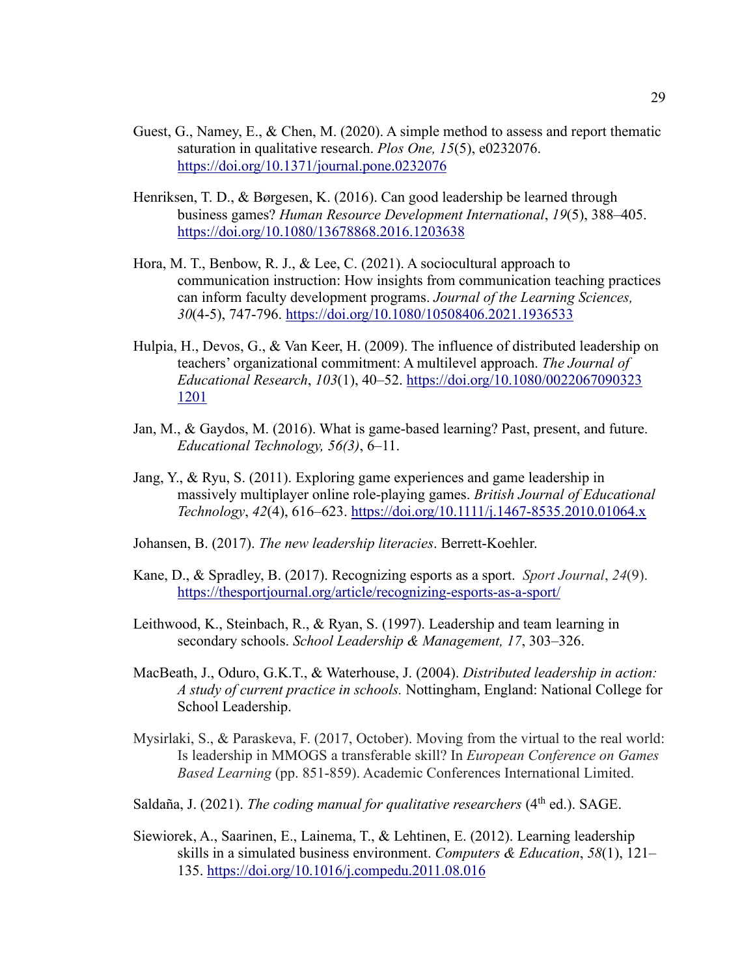- Guest, G., Namey, E., & Chen, M. (2020). A simple method to assess and report thematic saturation in qualitative research. *Plos One, 15*(5), e0232076. <https://doi.org/10.1371/journal.pone.0232076>
- Henriksen, T. D., & Børgesen, K. (2016). Can good leadership be learned through business games? *Human Resource Development International*, *19*(5), 388–405. <https://doi.org/10.1080/13678868.2016.1203638>
- Hora, M. T., Benbow, R. J., & Lee, C. (2021). A sociocultural approach to communication instruction: How insights from communication teaching practices can inform faculty development programs. *Journal of the Learning Sciences, 30*(4-5), 747-796.<https://doi.org/10.1080/10508406.2021.1936533>
- Hulpia, H., Devos, G., & Van Keer, H. (2009). The influence of distributed leadership on teachers' organizational commitment: A multilevel approach. *The Journal of Educational Research*, *103*(1), 40–52. [https://doi.org/10.1080/0022067090323](https://doi.org/10.1080/0022067090323%201201) [1201](https://doi.org/10.1080/0022067090323%201201)
- Jan, M., & Gaydos, M. (2016). What is game-based learning? Past, present, and future. *Educational Technology, 56(3)*, 6–11.
- Jang, Y., & Ryu, S. (2011). Exploring game experiences and game leadership in massively multiplayer online role-playing games. *British Journal of Educational Technology*, *42*(4), 616–623.<https://doi.org/10.1111/j.1467-8535.2010.01064.x>
- Johansen, B. (2017). *The new leadership literacies*. Berrett-Koehler.
- Kane, D., & Spradley, B. (2017). Recognizing esports as a sport. *Sport Journal*, *24*(9). <https://thesportjournal.org/article/recognizing-esports-as-a-sport/>
- Leithwood, K., Steinbach, R., & Ryan, S. (1997). Leadership and team learning in secondary schools. *School Leadership & Management, 17*, 303–326.
- MacBeath, J., Oduro, G.K.T., & Waterhouse, J. (2004). *Distributed leadership in action: A study of current practice in schools.* Nottingham, England: National College for School Leadership.
- Mysirlaki, S., & Paraskeva, F. (2017, October). Moving from the virtual to the real world: Is leadership in MMOGS a transferable skill? In *European Conference on Games Based Learning* (pp. 851-859). Academic Conferences International Limited.
- Saldaña, J. (2021). *The coding manual for qualitative researchers* (4<sup>th</sup> ed.). SAGE.
- Siewiorek, A., Saarinen, E., Lainema, T., & Lehtinen, E. (2012). Learning leadership skills in a simulated business environment. *Computers & Education*, *58*(1), 121– 135.<https://doi.org/10.1016/j.compedu.2011.08.016>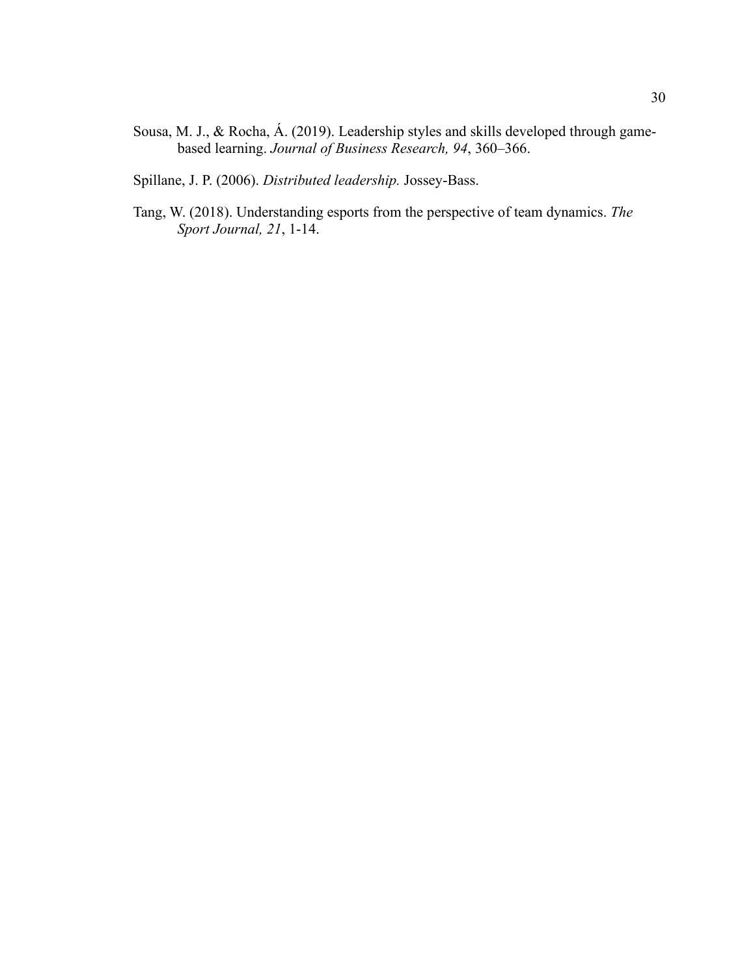- Sousa, M. J., & Rocha, Á. (2019). Leadership styles and skills developed through gamebased learning. *Journal of Business Research, 94*, 360–366.
- Spillane, J. P. (2006). *Distributed leadership.* Jossey-Bass.
- Tang, W. (2018). Understanding esports from the perspective of team dynamics. *The Sport Journal, 21*, 1-14.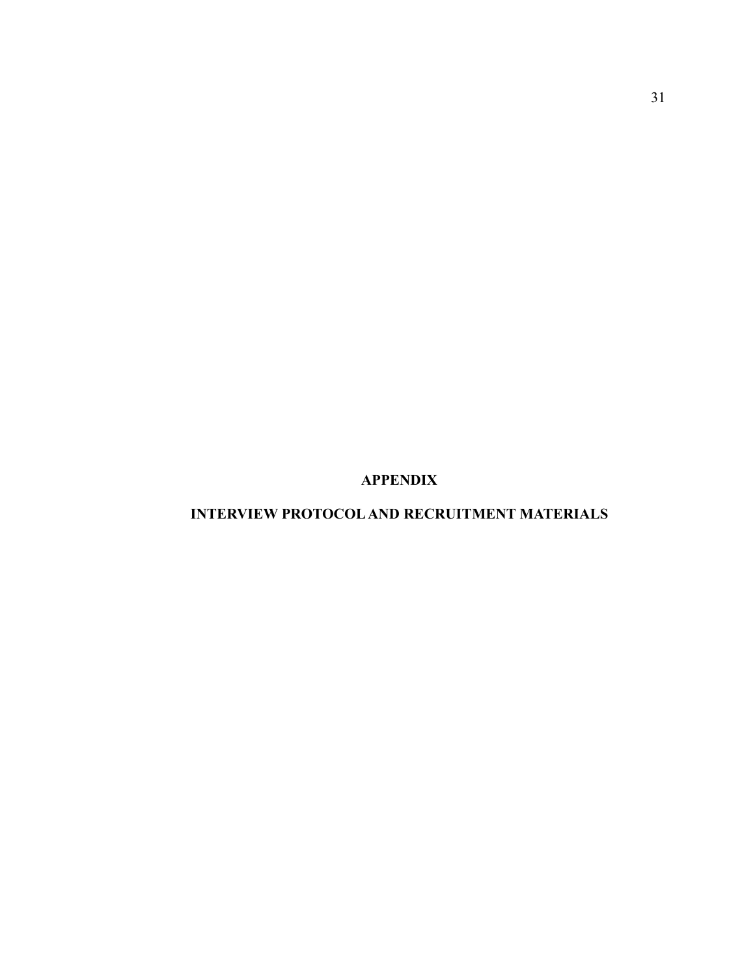**APPENDIX**

**INTERVIEW PROTOCOL AND RECRUITMENT MATERIALS**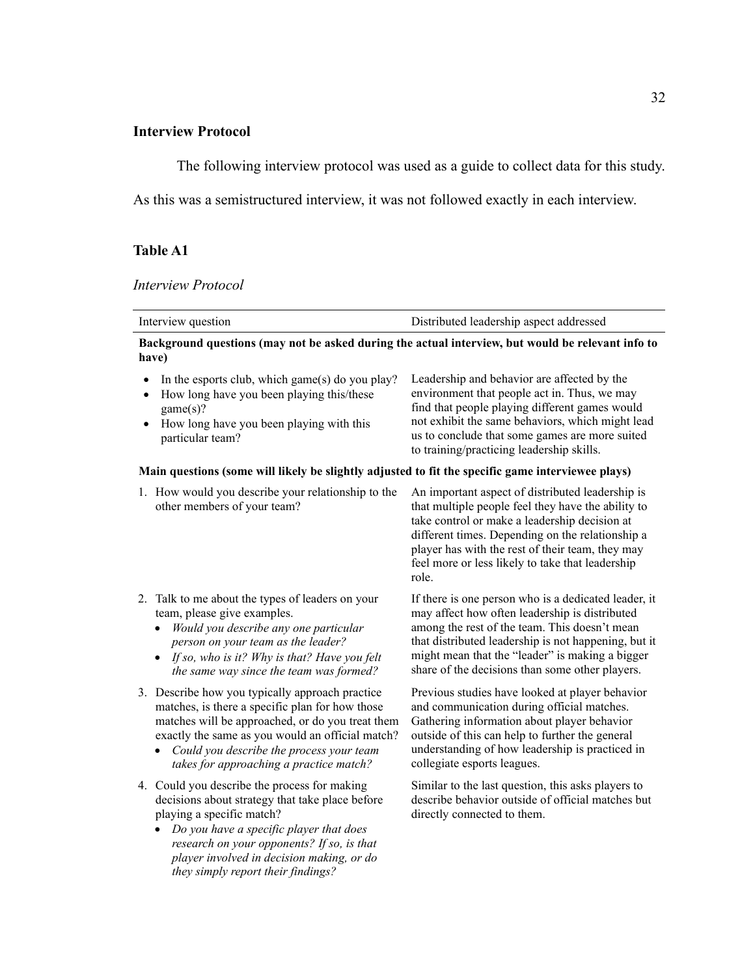## **Interview Protocol**

The following interview protocol was used as a guide to collect data for this study.

As this was a semistructured interview, it was not followed exactly in each interview.

## **Table A1**

#### *Interview Protocol*

| Interview question                                                                                                                                                                                                                                                                                | Distributed leadership aspect addressed                                                                                                                                                                                                                                                                                      |
|---------------------------------------------------------------------------------------------------------------------------------------------------------------------------------------------------------------------------------------------------------------------------------------------------|------------------------------------------------------------------------------------------------------------------------------------------------------------------------------------------------------------------------------------------------------------------------------------------------------------------------------|
| Background questions (may not be asked during the actual interview, but would be relevant info to<br>have)                                                                                                                                                                                        |                                                                                                                                                                                                                                                                                                                              |
| In the esports club, which game(s) do you play?<br>How long have you been playing this/these<br>game(s)?<br>How long have you been playing with this<br>particular team?                                                                                                                          | Leadership and behavior are affected by the<br>environment that people act in. Thus, we may<br>find that people playing different games would<br>not exhibit the same behaviors, which might lead<br>us to conclude that some games are more suited<br>to training/practicing leadership skills.                             |
| Main questions (some will likely be slightly adjusted to fit the specific game interviewee plays)                                                                                                                                                                                                 |                                                                                                                                                                                                                                                                                                                              |
| 1. How would you describe your relationship to the<br>other members of your team?                                                                                                                                                                                                                 | An important aspect of distributed leadership is<br>that multiple people feel they have the ability to<br>take control or make a leadership decision at<br>different times. Depending on the relationship a<br>player has with the rest of their team, they may<br>feel more or less likely to take that leadership<br>role. |
| 2. Talk to me about the types of leaders on your<br>team, please give examples.<br>Would you describe any one particular<br>person on your team as the leader?<br>If so, who is it? Why is that? Have you felt<br>the same way since the team was formed?                                         | If there is one person who is a dedicated leader, it<br>may affect how often leadership is distributed<br>among the rest of the team. This doesn't mean<br>that distributed leadership is not happening, but it<br>might mean that the "leader" is making a bigger<br>share of the decisions than some other players.        |
| 3. Describe how you typically approach practice<br>matches, is there a specific plan for how those<br>matches will be approached, or do you treat them<br>exactly the same as you would an official match?<br>Could you describe the process your team<br>takes for approaching a practice match? | Previous studies have looked at player behavior<br>and communication during official matches.<br>Gathering information about player behavior<br>outside of this can help to further the general<br>understanding of how leadership is practiced in<br>collegiate esports leagues.                                            |
| 4. Could you describe the process for making<br>decisions about strategy that take place before<br>playing a specific match?<br>Do you have a specific player that does<br>research on your opponents? If so, is that                                                                             | Similar to the last question, this asks players to<br>describe behavior outside of official matches but<br>directly connected to them.                                                                                                                                                                                       |

*player involved in decision making, or do they simply report their findings?*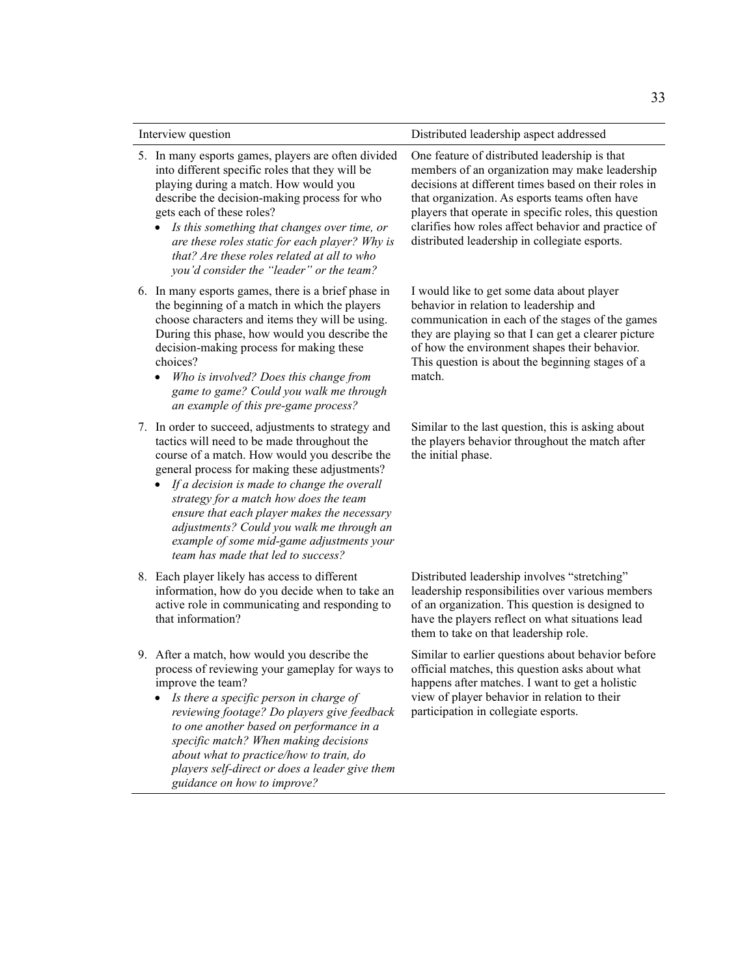| Interview question |                                                                                                                                                                                                                                                                                                                                                                                                                                                                                           | Distributed leadership aspect addressed                                                                                                                                                                                                                                                                                                                                    |  |
|--------------------|-------------------------------------------------------------------------------------------------------------------------------------------------------------------------------------------------------------------------------------------------------------------------------------------------------------------------------------------------------------------------------------------------------------------------------------------------------------------------------------------|----------------------------------------------------------------------------------------------------------------------------------------------------------------------------------------------------------------------------------------------------------------------------------------------------------------------------------------------------------------------------|--|
|                    | 5. In many esports games, players are often divided<br>into different specific roles that they will be<br>playing during a match. How would you<br>describe the decision-making process for who<br>gets each of these roles?<br>Is this something that changes over time, or<br>are these roles static for each player? Why is<br>that? Are these roles related at all to who<br>you'd consider the "leader" or the team?                                                                 | One feature of distributed leadership is that<br>members of an organization may make leadership<br>decisions at different times based on their roles in<br>that organization. As esports teams often have<br>players that operate in specific roles, this question<br>clarifies how roles affect behavior and practice of<br>distributed leadership in collegiate esports. |  |
|                    | 6. In many esports games, there is a brief phase in<br>the beginning of a match in which the players<br>choose characters and items they will be using.<br>During this phase, how would you describe the<br>decision-making process for making these<br>choices?<br>Who is involved? Does this change from<br>game to game? Could you walk me through<br>an example of this pre-game process?                                                                                             | I would like to get some data about player<br>behavior in relation to leadership and<br>communication in each of the stages of the games<br>they are playing so that I can get a clearer picture<br>of how the environment shapes their behavior.<br>This question is about the beginning stages of a<br>match.                                                            |  |
|                    | 7. In order to succeed, adjustments to strategy and<br>tactics will need to be made throughout the<br>course of a match. How would you describe the<br>general process for making these adjustments?<br>If a decision is made to change the overall<br>$\bullet$<br>strategy for a match how does the team<br>ensure that each player makes the necessary<br>adjustments? Could you walk me through an<br>example of some mid-game adjustments your<br>team has made that led to success? | Similar to the last question, this is asking about<br>the players behavior throughout the match after<br>the initial phase.                                                                                                                                                                                                                                                |  |
|                    | 8. Each player likely has access to different<br>information, how do you decide when to take an<br>active role in communicating and responding to<br>that information?                                                                                                                                                                                                                                                                                                                    | Distributed leadership involves "stretching"<br>leadership responsibilities over various members<br>of an organization. This question is designed to<br>have the players reflect on what situations lead<br>them to take on that leadership role.                                                                                                                          |  |
|                    | 9. After a match, how would you describe the<br>process of reviewing your gameplay for ways to<br>improve the team?<br>Is there a specific person in charge of<br>reviewing footage? Do players give feedback<br>to one another based on performance in a<br>specific match? When making decisions<br>about what to practice/how to train, do<br>players self-direct or does a leader give them<br>guidance on how to improve?                                                            | Similar to earlier questions about behavior before<br>official matches, this question asks about what<br>happens after matches. I want to get a holistic<br>view of player behavior in relation to their<br>participation in collegiate esports.                                                                                                                           |  |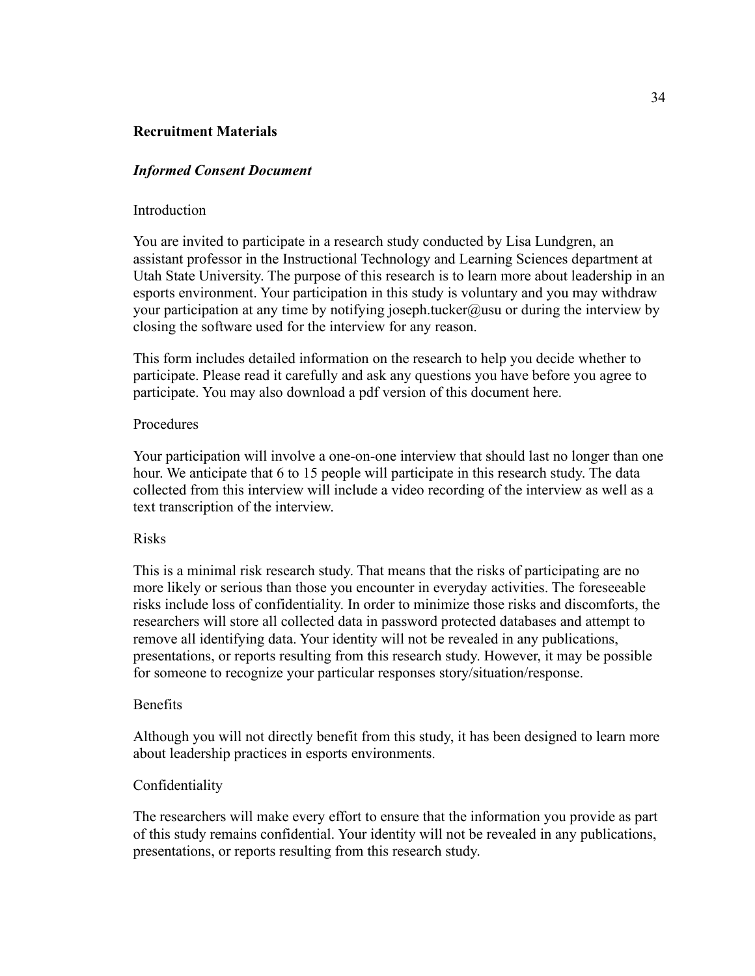## **Recruitment Materials**

## *Informed Consent Document*

#### Introduction

You are invited to participate in a research study conducted by Lisa Lundgren, an assistant professor in the Instructional Technology and Learning Sciences department at Utah State University. The purpose of this research is to learn more about leadership in an esports environment. Your participation in this study is voluntary and you may withdraw your participation at any time by notifying joseph.tucker@usu or during the interview by closing the software used for the interview for any reason.

This form includes detailed information on the research to help you decide whether to participate. Please read it carefully and ask any questions you have before you agree to participate. You may also download a pdf version of this document here.

## Procedures

Your participation will involve a one-on-one interview that should last no longer than one hour. We anticipate that 6 to 15 people will participate in this research study. The data collected from this interview will include a video recording of the interview as well as a text transcription of the interview.

#### Risks

This is a minimal risk research study. That means that the risks of participating are no more likely or serious than those you encounter in everyday activities. The foreseeable risks include loss of confidentiality. In order to minimize those risks and discomforts, the researchers will store all collected data in password protected databases and attempt to remove all identifying data. Your identity will not be revealed in any publications, presentations, or reports resulting from this research study. However, it may be possible for someone to recognize your particular responses story/situation/response.

### Benefits

Although you will not directly benefit from this study, it has been designed to learn more about leadership practices in esports environments.

## Confidentiality

The researchers will make every effort to ensure that the information you provide as part of this study remains confidential. Your identity will not be revealed in any publications, presentations, or reports resulting from this research study.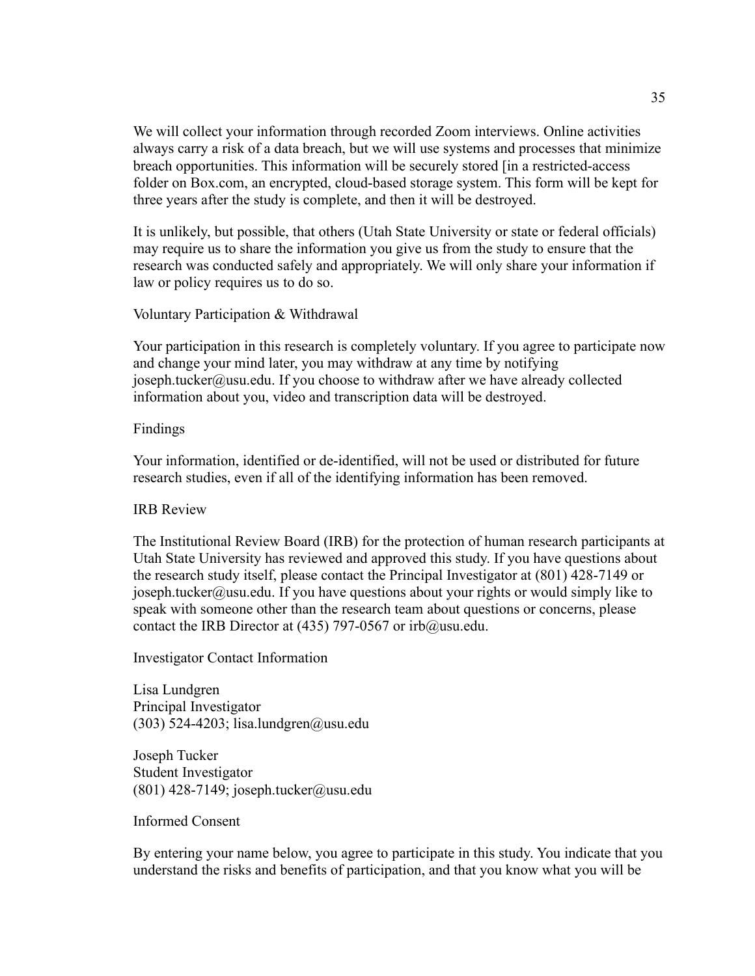We will collect your information through recorded Zoom interviews. Online activities always carry a risk of a data breach, but we will use systems and processes that minimize breach opportunities. This information will be securely stored [in a restricted-access folder on Box.com, an encrypted, cloud-based storage system. This form will be kept for three years after the study is complete, and then it will be destroyed.

It is unlikely, but possible, that others (Utah State University or state or federal officials) may require us to share the information you give us from the study to ensure that the research was conducted safely and appropriately. We will only share your information if law or policy requires us to do so.

Voluntary Participation & Withdrawal

Your participation in this research is completely voluntary. If you agree to participate now and change your mind later, you may withdraw at any time by notifying joseph.tucker@usu.edu. If you choose to withdraw after we have already collected information about you, video and transcription data will be destroyed.

Findings

Your information, identified or de-identified, will not be used or distributed for future research studies, even if all of the identifying information has been removed.

IRB Review

The Institutional Review Board (IRB) for the protection of human research participants at Utah State University has reviewed and approved this study. If you have questions about the research study itself, please contact the Principal Investigator at (801) 428-7149 or joseph.tucker@usu.edu. If you have questions about your rights or would simply like to speak with someone other than the research team about questions or concerns, please contact the IRB Director at (435) 797-0567 or irb@usu.edu.

Investigator Contact Information

Lisa Lundgren Principal Investigator (303) 524-4203; lisa.lundgren@usu.edu

Joseph Tucker Student Investigator  $(801)$  428-7149; joseph.tucker@usu.edu

Informed Consent

By entering your name below, you agree to participate in this study. You indicate that you understand the risks and benefits of participation, and that you know what you will be